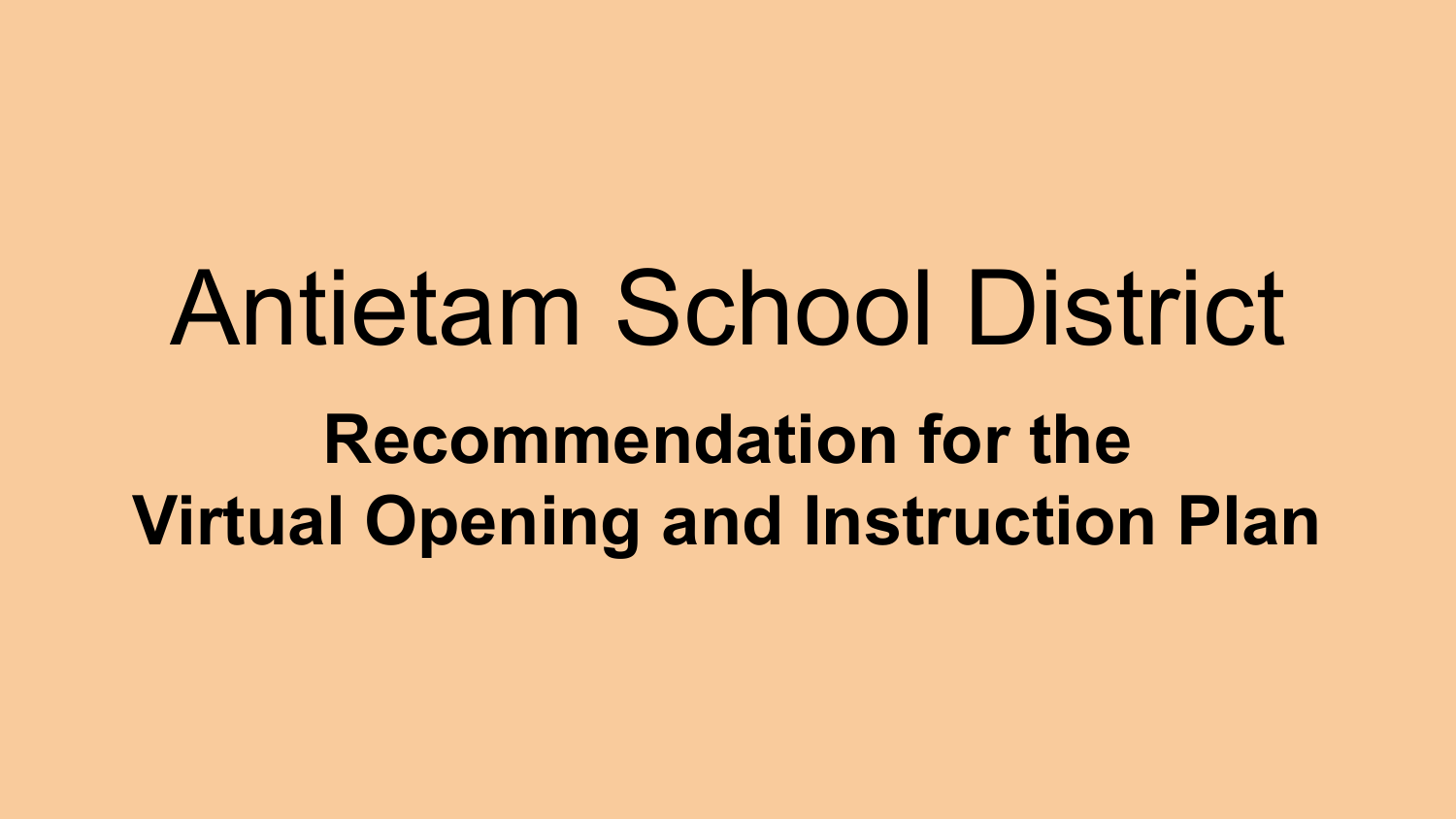# Antietam School District **Recommendation for the Virtual Opening and Instruction Plan**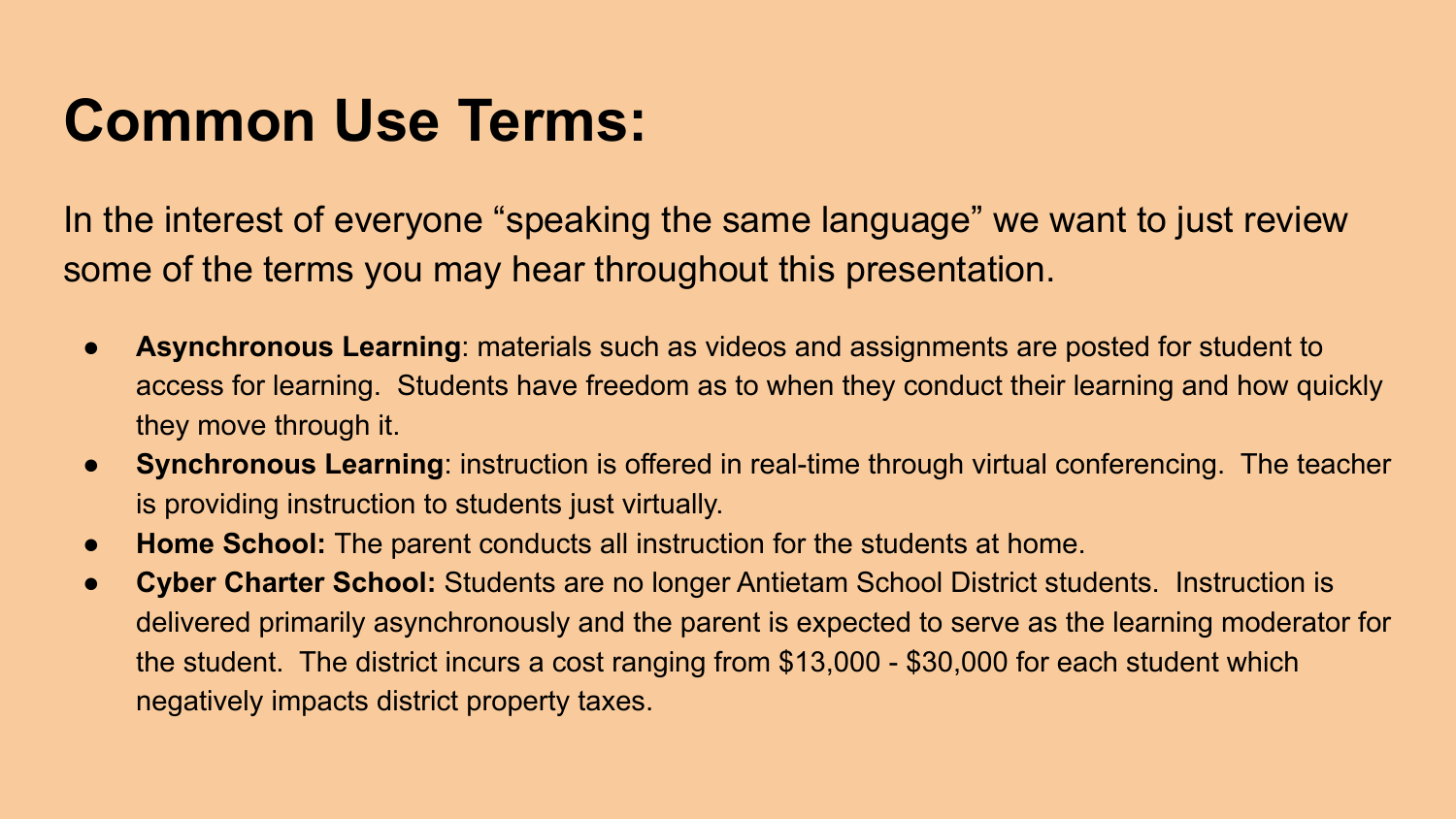### **Common Use Terms:**

In the interest of everyone "speaking the same language" we want to just review some of the terms you may hear throughout this presentation.

- **Asynchronous Learning**: materials such as videos and assignments are posted for student to access for learning. Students have freedom as to when they conduct their learning and how quickly they move through it.
- **● Synchronous Learning**: instruction is offered in real-time through virtual conferencing. The teacher is providing instruction to students just virtually.
- **● Home School:** The parent conducts all instruction for the students at home.
- **● Cyber Charter School:** Students are no longer Antietam School District students. Instruction is delivered primarily asynchronously and the parent is expected to serve as the learning moderator for the student. The district incurs a cost ranging from \$13,000 - \$30,000 for each student which negatively impacts district property taxes.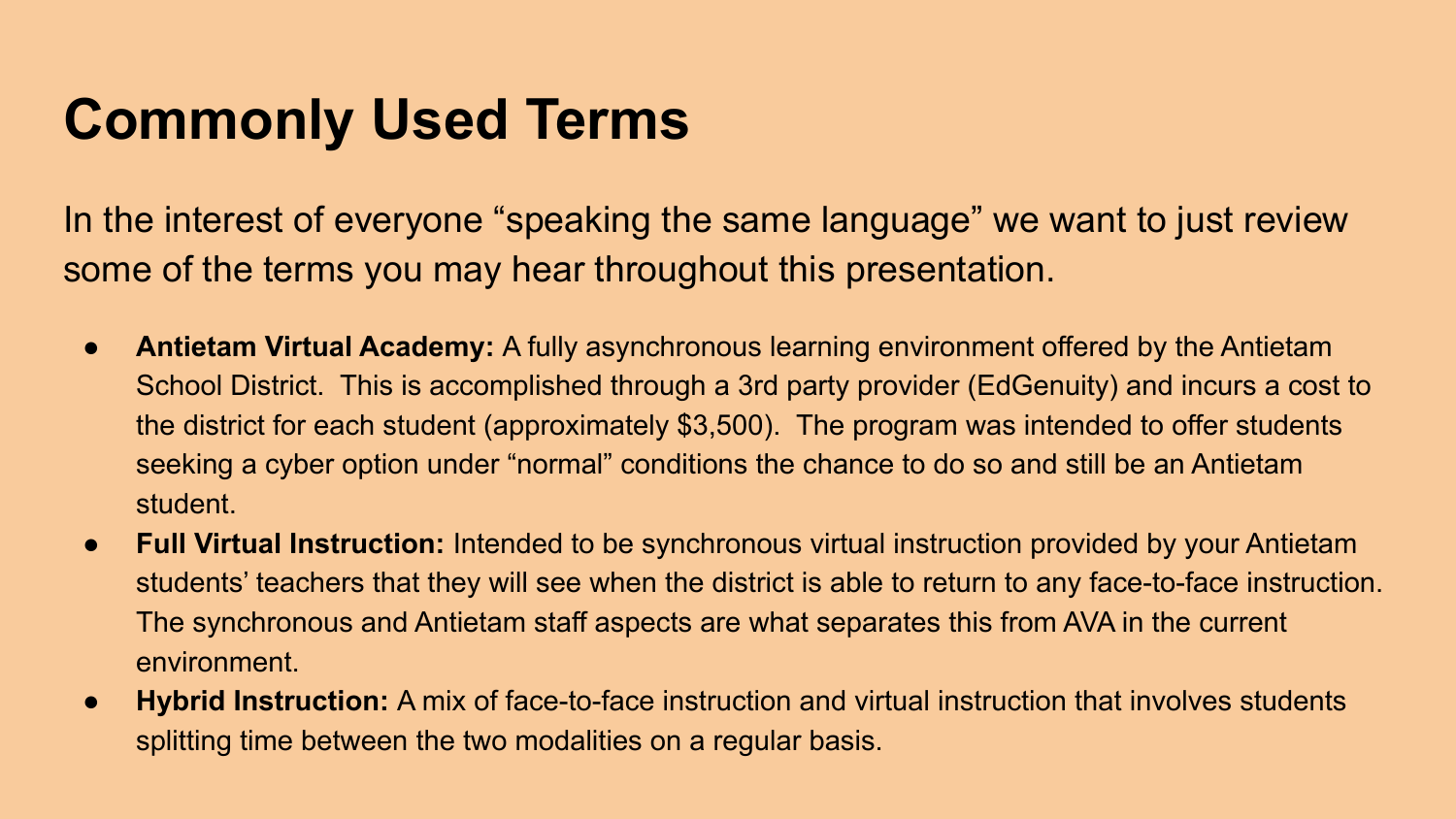#### **Commonly Used Terms**

In the interest of everyone "speaking the same language" we want to just review some of the terms you may hear throughout this presentation.

- **Antietam Virtual Academy:** A fully asynchronous learning environment offered by the Antietam School District. This is accomplished through a 3rd party provider (EdGenuity) and incurs a cost to the district for each student (approximately \$3,500). The program was intended to offer students seeking a cyber option under "normal" conditions the chance to do so and still be an Antietam student.
- **● Full Virtual Instruction:** Intended to be synchronous virtual instruction provided by your Antietam students' teachers that they will see when the district is able to return to any face-to-face instruction. The synchronous and Antietam staff aspects are what separates this from AVA in the current environment.
- **● Hybrid Instruction:** A mix of face-to-face instruction and virtual instruction that involves students splitting time between the two modalities on a regular basis.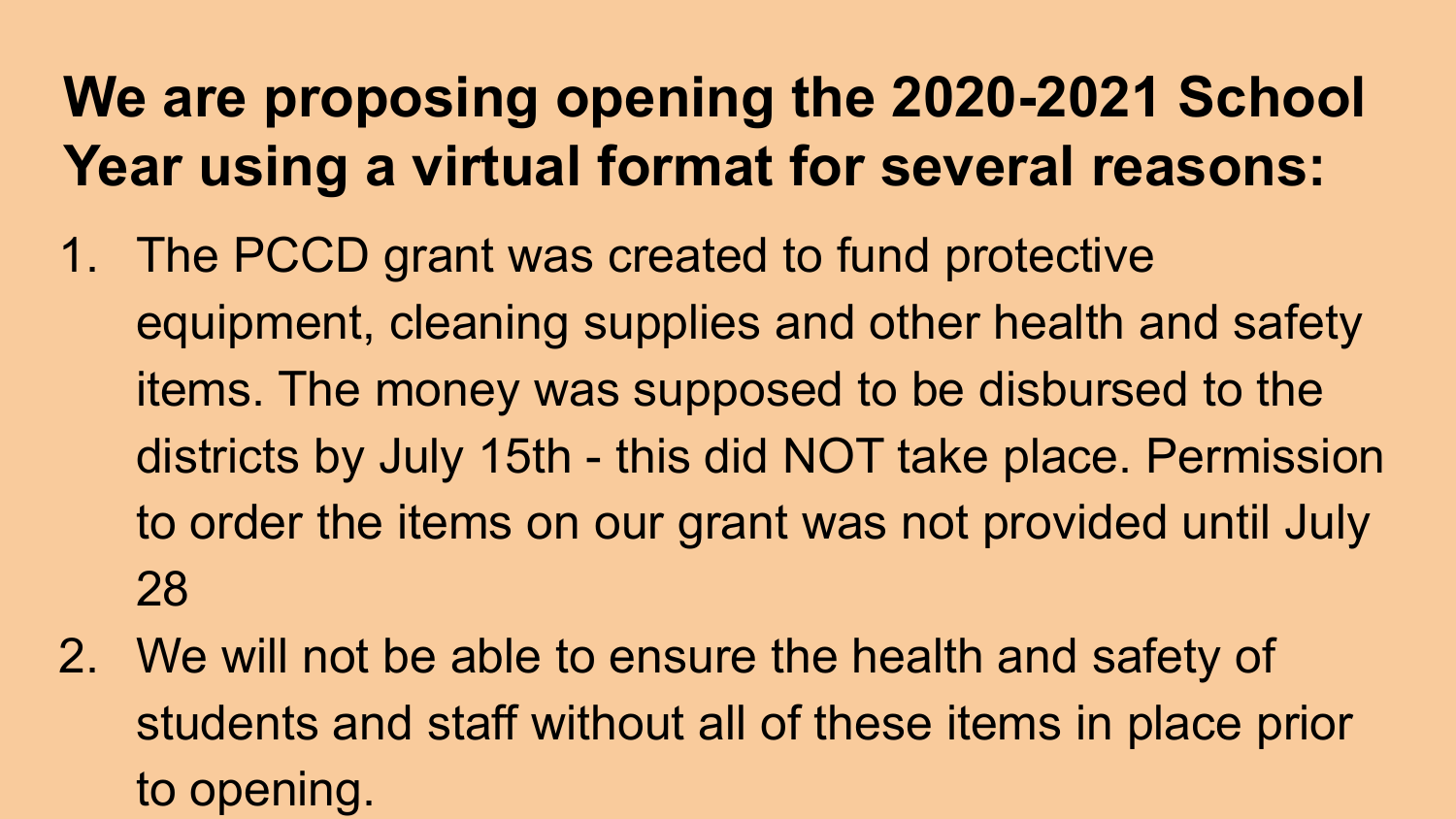# **We are proposing opening the 2020-2021 School Year using a virtual format for several reasons:**

- 1. The PCCD grant was created to fund protective equipment, cleaning supplies and other health and safety items. The money was supposed to be disbursed to the districts by July 15th - this did NOT take place. Permission to order the items on our grant was not provided until July 28
- 2. We will not be able to ensure the health and safety of students and staff without all of these items in place prior to opening.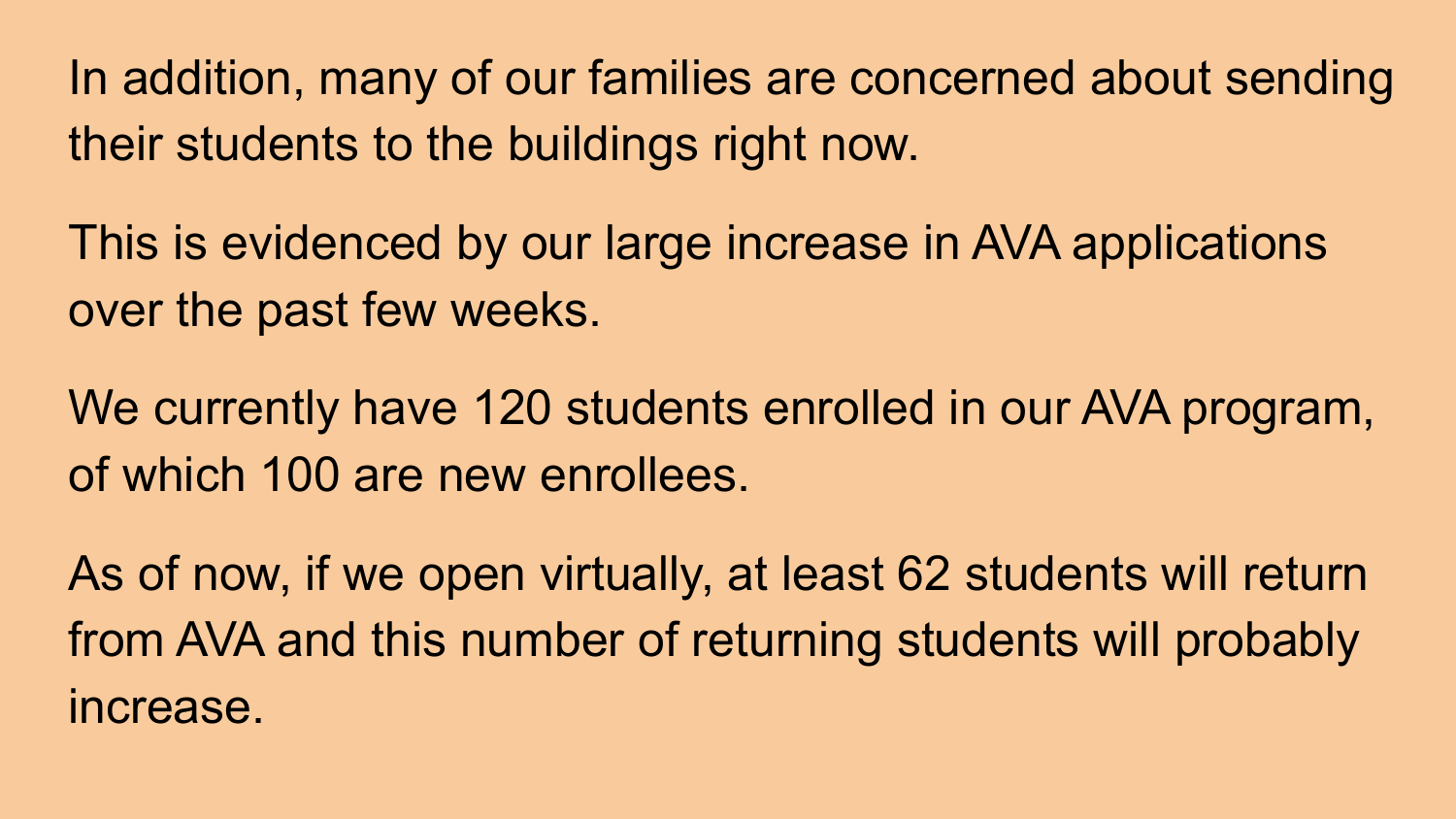In addition, many of our families are concerned about sending their students to the buildings right now.

This is evidenced by our large increase in AVA applications over the past few weeks.

We currently have 120 students enrolled in our AVA program, of which 100 are new enrollees.

As of now, if we open virtually, at least 62 students will return from AVA and this number of returning students will probably increase.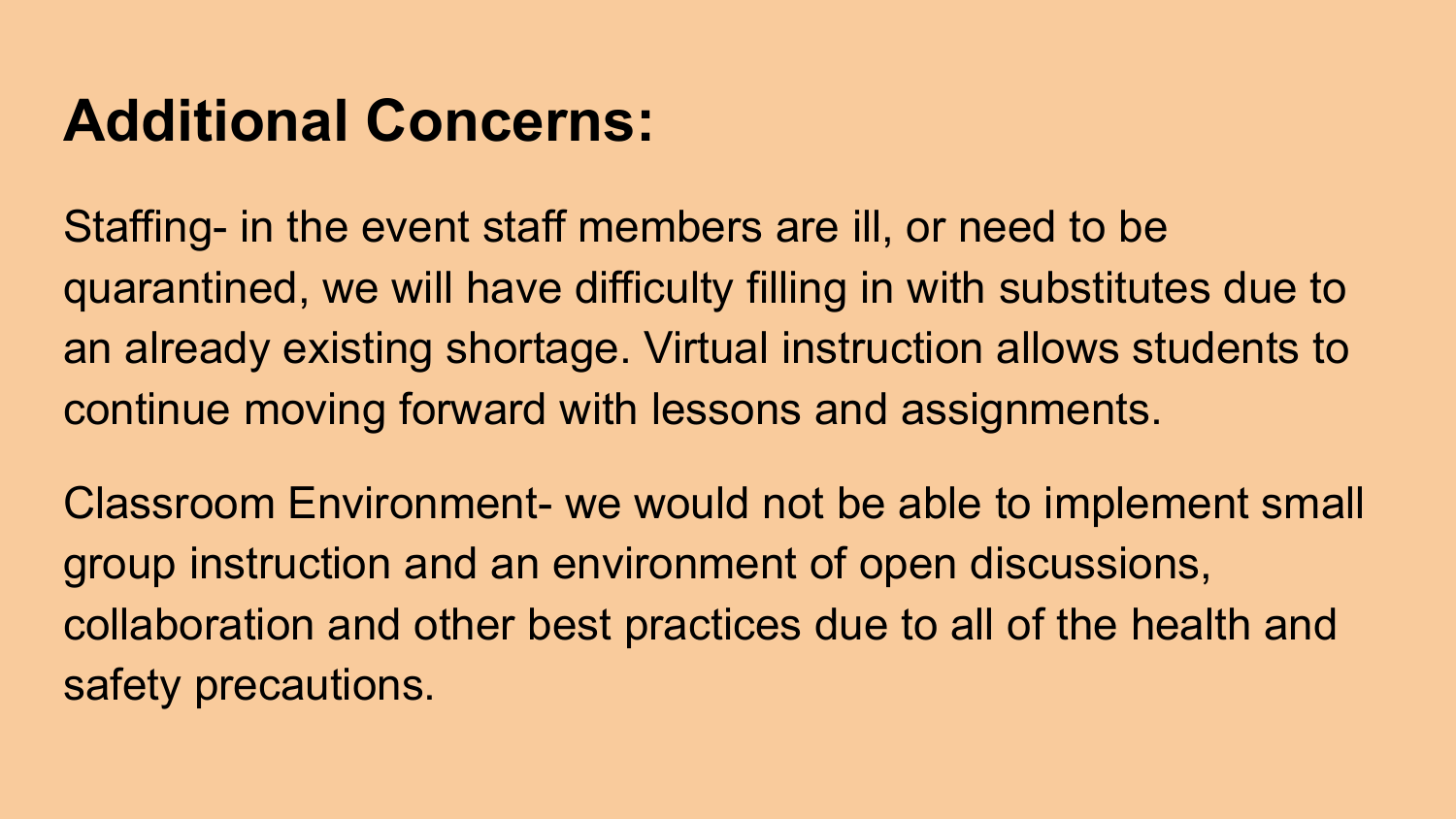#### **Additional Concerns:**

Staffing- in the event staff members are ill, or need to be quarantined, we will have difficulty filling in with substitutes due to an already existing shortage. Virtual instruction allows students to continue moving forward with lessons and assignments.

Classroom Environment- we would not be able to implement small group instruction and an environment of open discussions, collaboration and other best practices due to all of the health and safety precautions.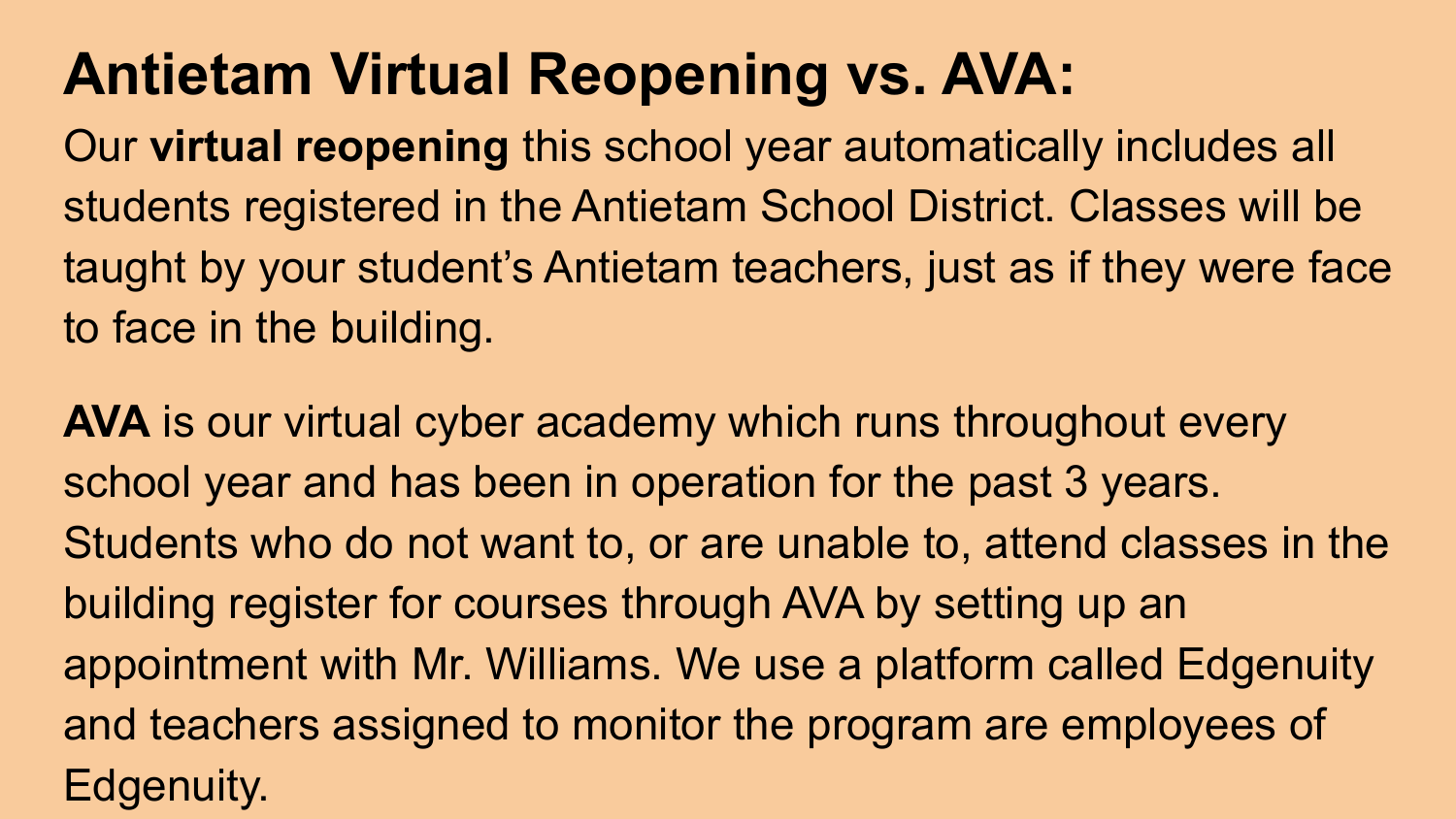# **Antietam Virtual Reopening vs. AVA:**

Our **virtual reopening** this school year automatically includes all students registered in the Antietam School District. Classes will be taught by your student's Antietam teachers, just as if they were face to face in the building.

**AVA** is our virtual cyber academy which runs throughout every school year and has been in operation for the past 3 years. Students who do not want to, or are unable to, attend classes in the building register for courses through AVA by setting up an appointment with Mr. Williams. We use a platform called Edgenuity and teachers assigned to monitor the program are employees of Edgenuity.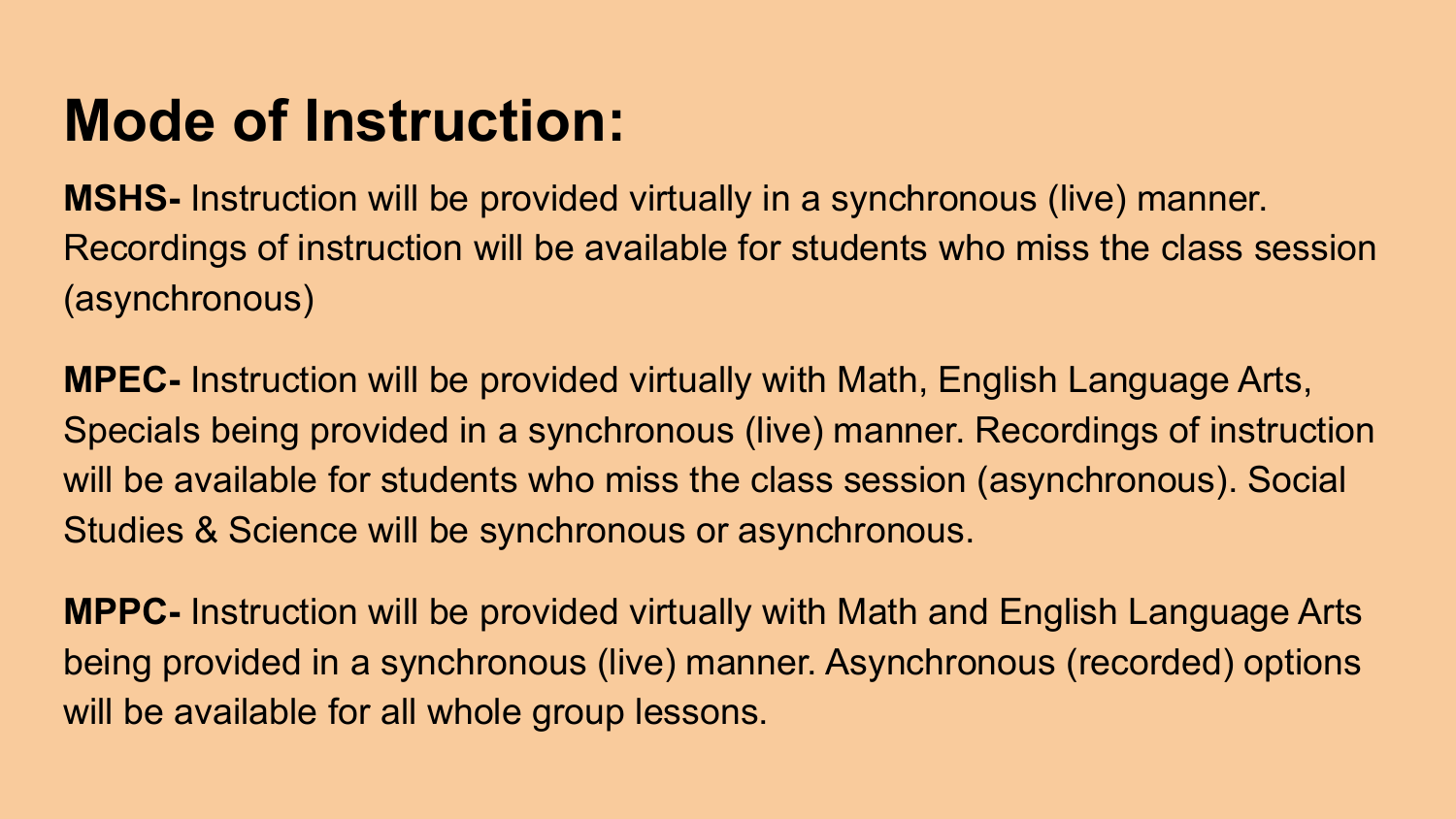### **Mode of Instruction:**

**MSHS-** Instruction will be provided virtually in a synchronous (live) manner. Recordings of instruction will be available for students who miss the class session (asynchronous)

**MPEC-** Instruction will be provided virtually with Math, English Language Arts, Specials being provided in a synchronous (live) manner. Recordings of instruction will be available for students who miss the class session (asynchronous). Social Studies & Science will be synchronous or asynchronous.

**MPPC-** Instruction will be provided virtually with Math and English Language Arts being provided in a synchronous (live) manner. Asynchronous (recorded) options will be available for all whole group lessons.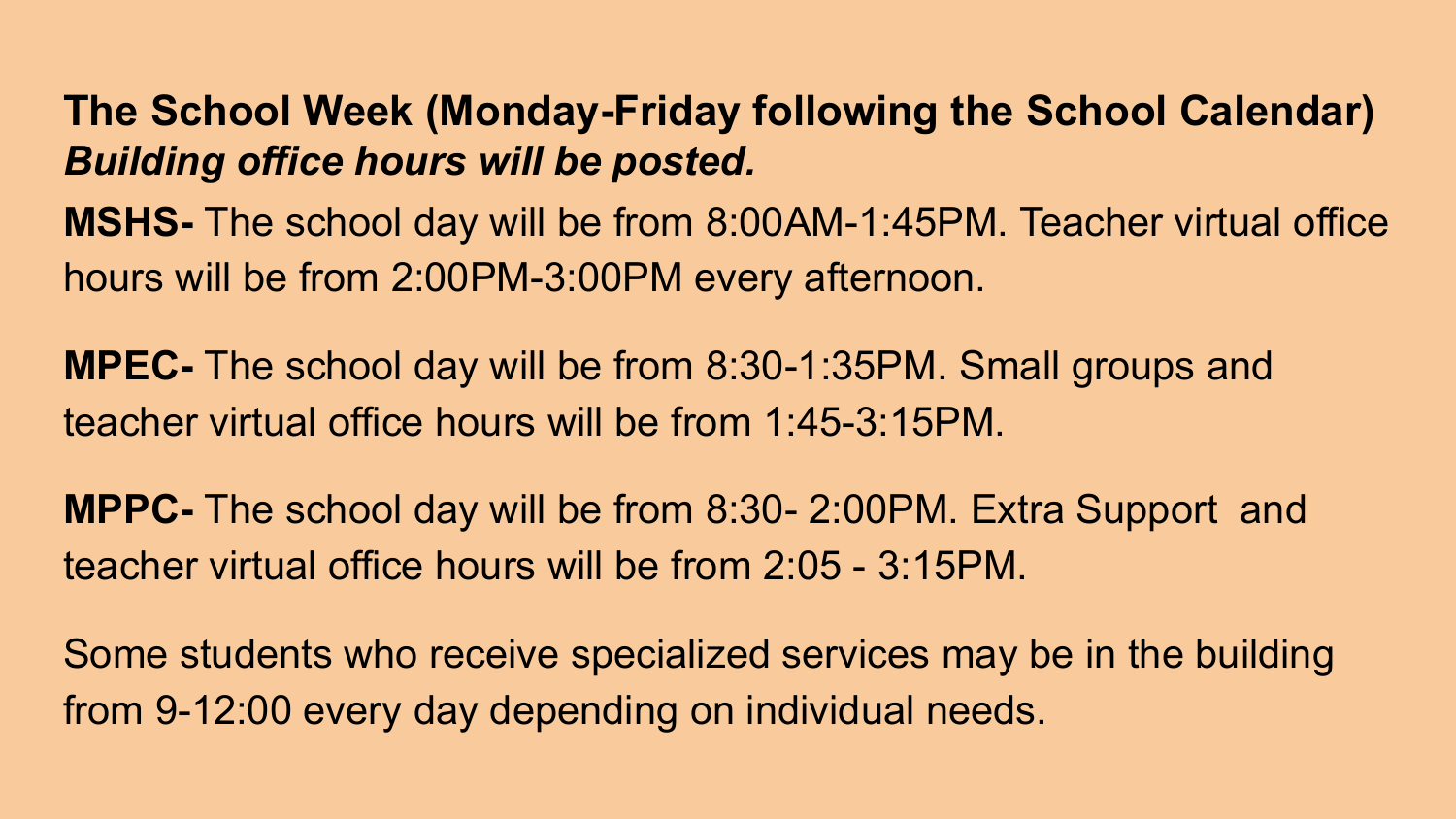#### **The School Week (Monday-Friday following the School Calendar)** *Building office hours will be posted.*

**MSHS-** The school day will be from 8:00AM-1:45PM. Teacher virtual office hours will be from 2:00PM-3:00PM every afternoon.

**MPEC-** The school day will be from 8:30-1:35PM. Small groups and teacher virtual office hours will be from 1:45-3:15PM.

**MPPC-** The school day will be from 8:30- 2:00PM. Extra Support and teacher virtual office hours will be from 2:05 - 3:15PM.

Some students who receive specialized services may be in the building from 9-12:00 every day depending on individual needs.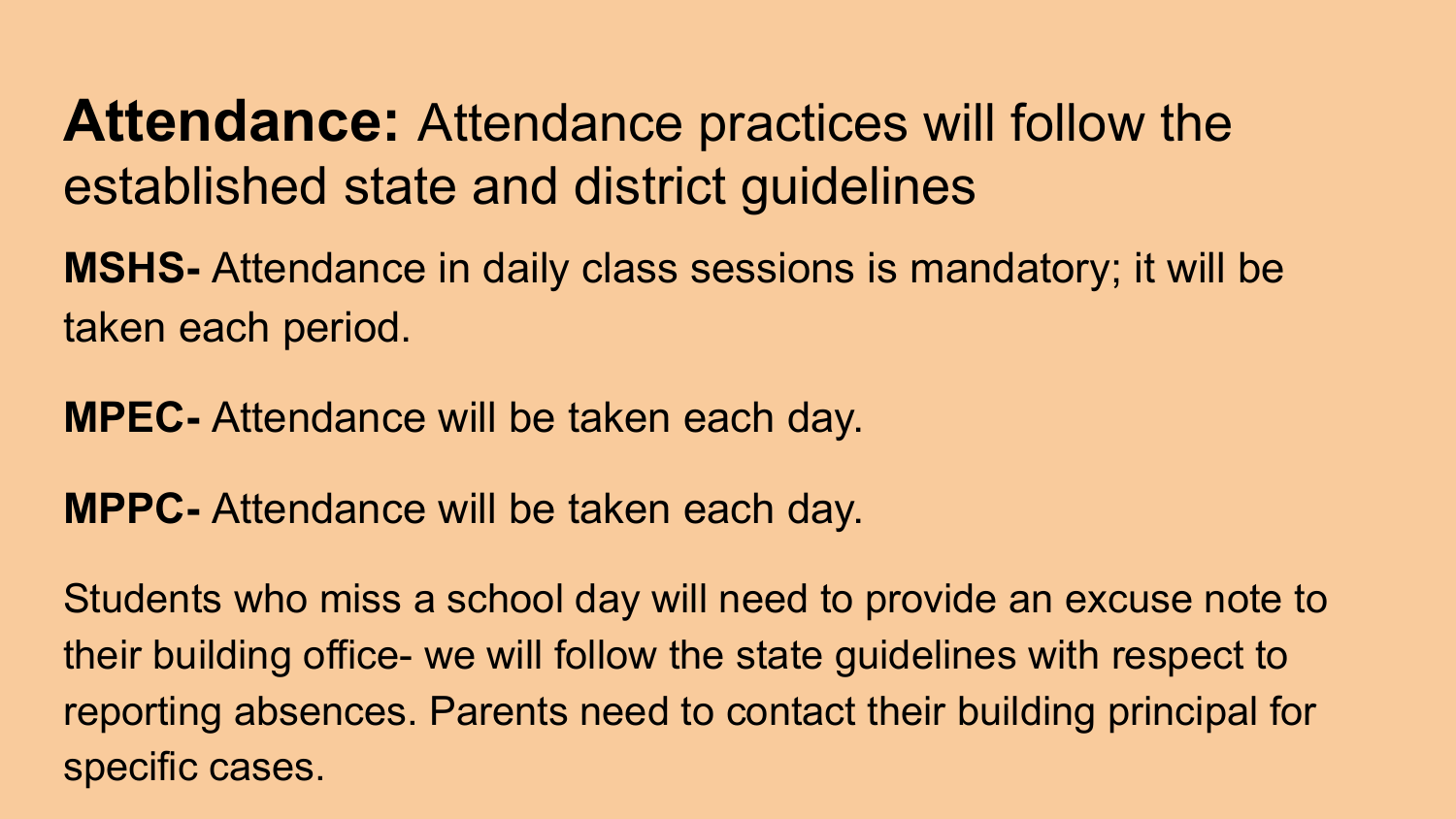**Attendance:** Attendance practices will follow the established state and district guidelines

**MSHS-** Attendance in daily class sessions is mandatory; it will be taken each period.

**MPEC-** Attendance will be taken each day.

**MPPC-** Attendance will be taken each day.

Students who miss a school day will need to provide an excuse note to their building office- we will follow the state guidelines with respect to reporting absences. Parents need to contact their building principal for specific cases.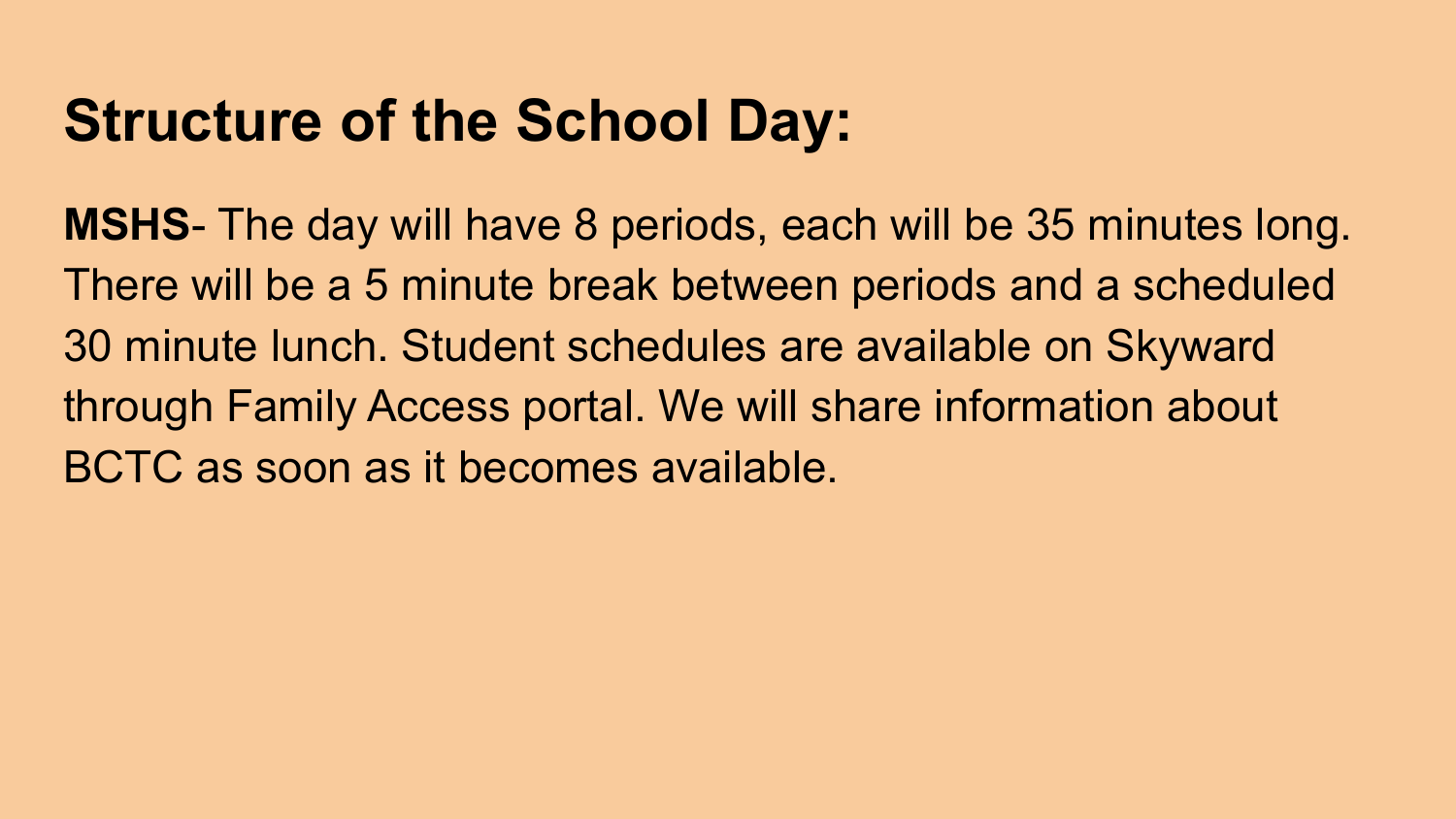### **Structure of the School Day:**

**MSHS**- The day will have 8 periods, each will be 35 minutes long. There will be a 5 minute break between periods and a scheduled 30 minute lunch. Student schedules are available on Skyward through Family Access portal. We will share information about BCTC as soon as it becomes available.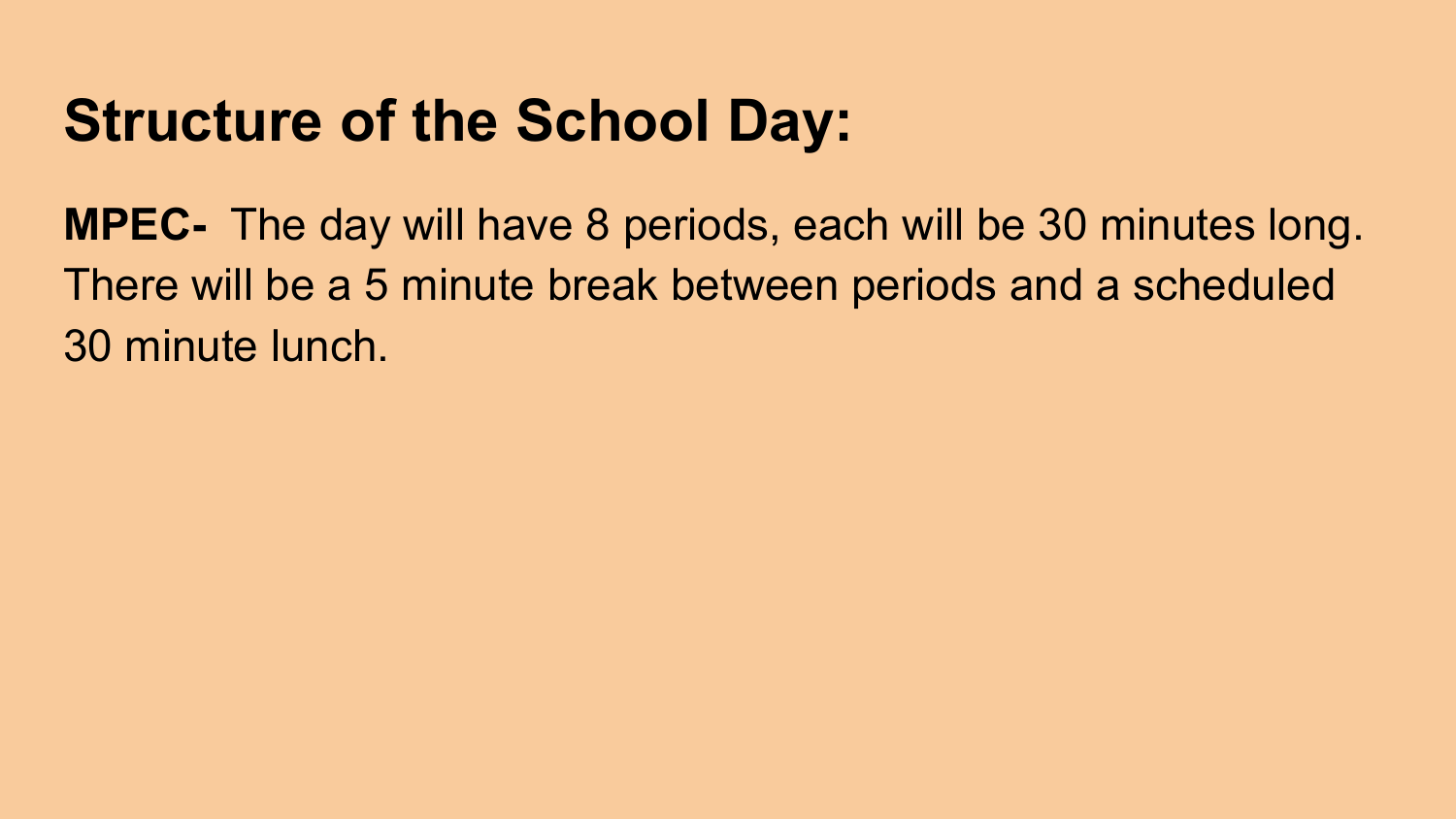### **Structure of the School Day:**

**MPEC-** The day will have 8 periods, each will be 30 minutes long. There will be a 5 minute break between periods and a scheduled 30 minute lunch.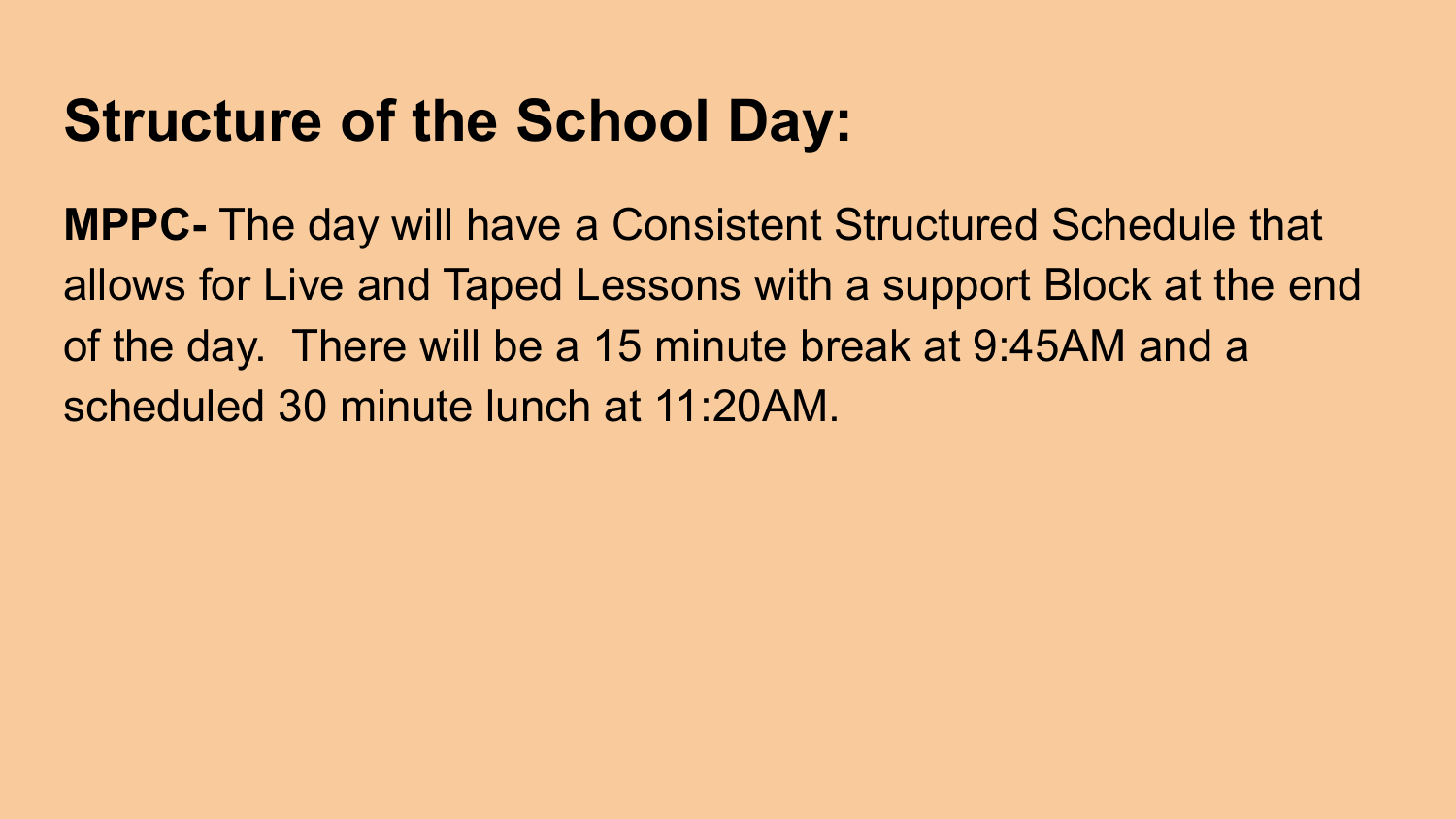#### **Structure of the School Day:**

**MPPC-** The day will have a Consistent Structured Schedule that allows for Live and Taped Lessons with a support Block at the end of the day. There will be a 15 minute break at 9:45AM and a scheduled 30 minute lunch at 11:20AM.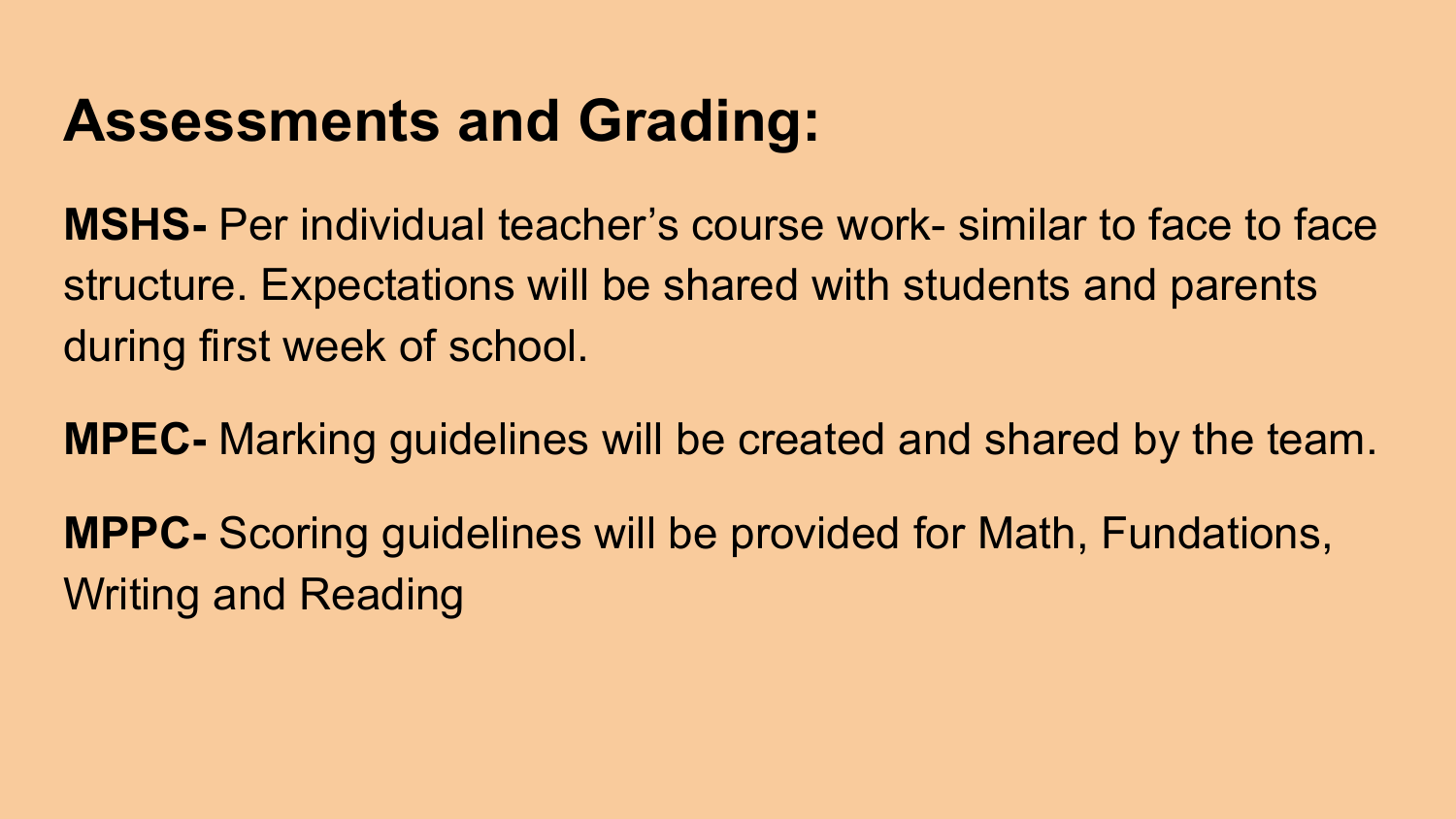### **Assessments and Grading:**

**MSHS-** Per individual teacher's course work- similar to face to face structure. Expectations will be shared with students and parents during first week of school.

**MPEC-** Marking guidelines will be created and shared by the team.

**MPPC-** Scoring guidelines will be provided for Math, Fundations, Writing and Reading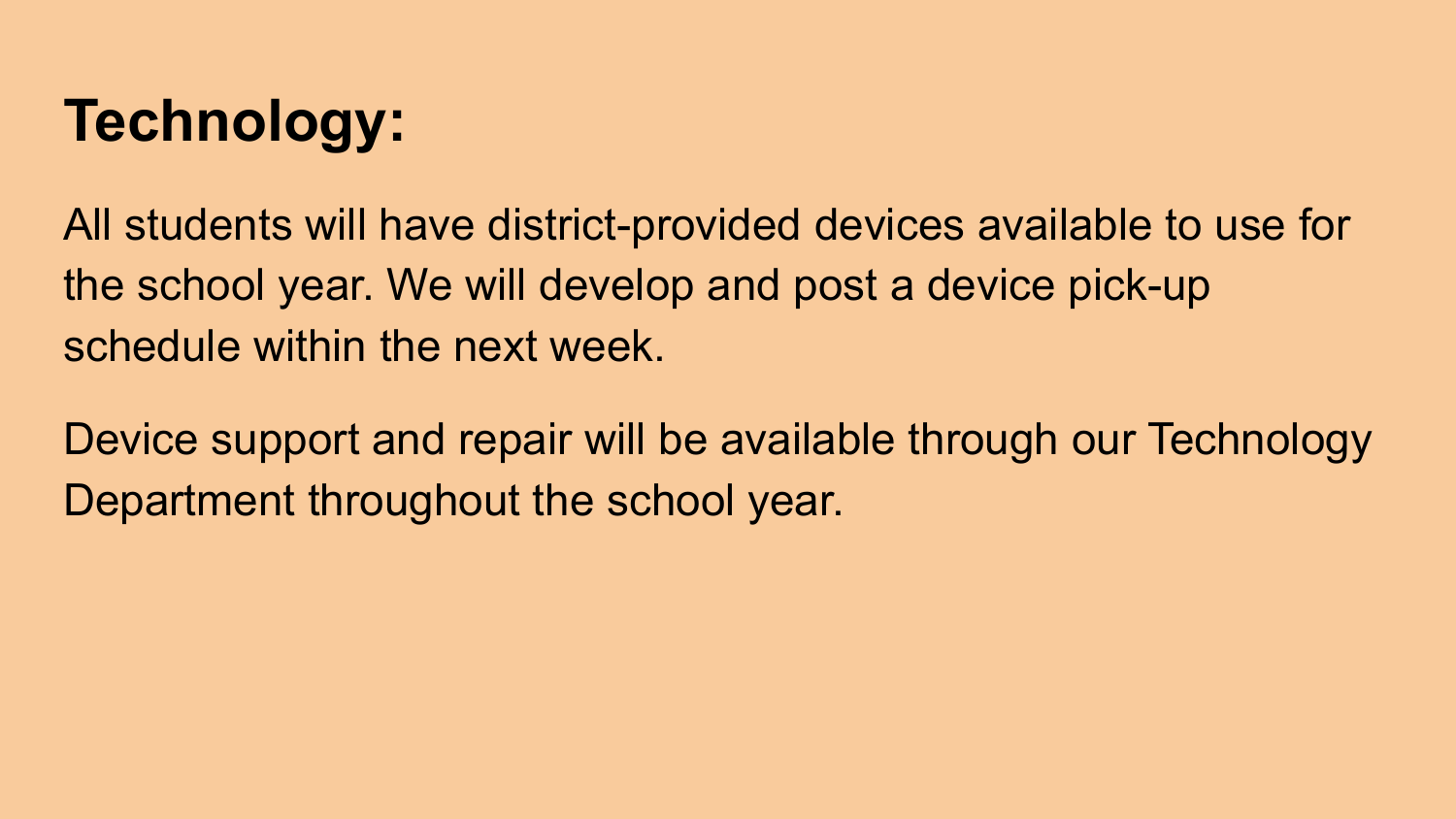# **Technology:**

All students will have district-provided devices available to use for the school year. We will develop and post a device pick-up schedule within the next week.

Device support and repair will be available through our Technology Department throughout the school year.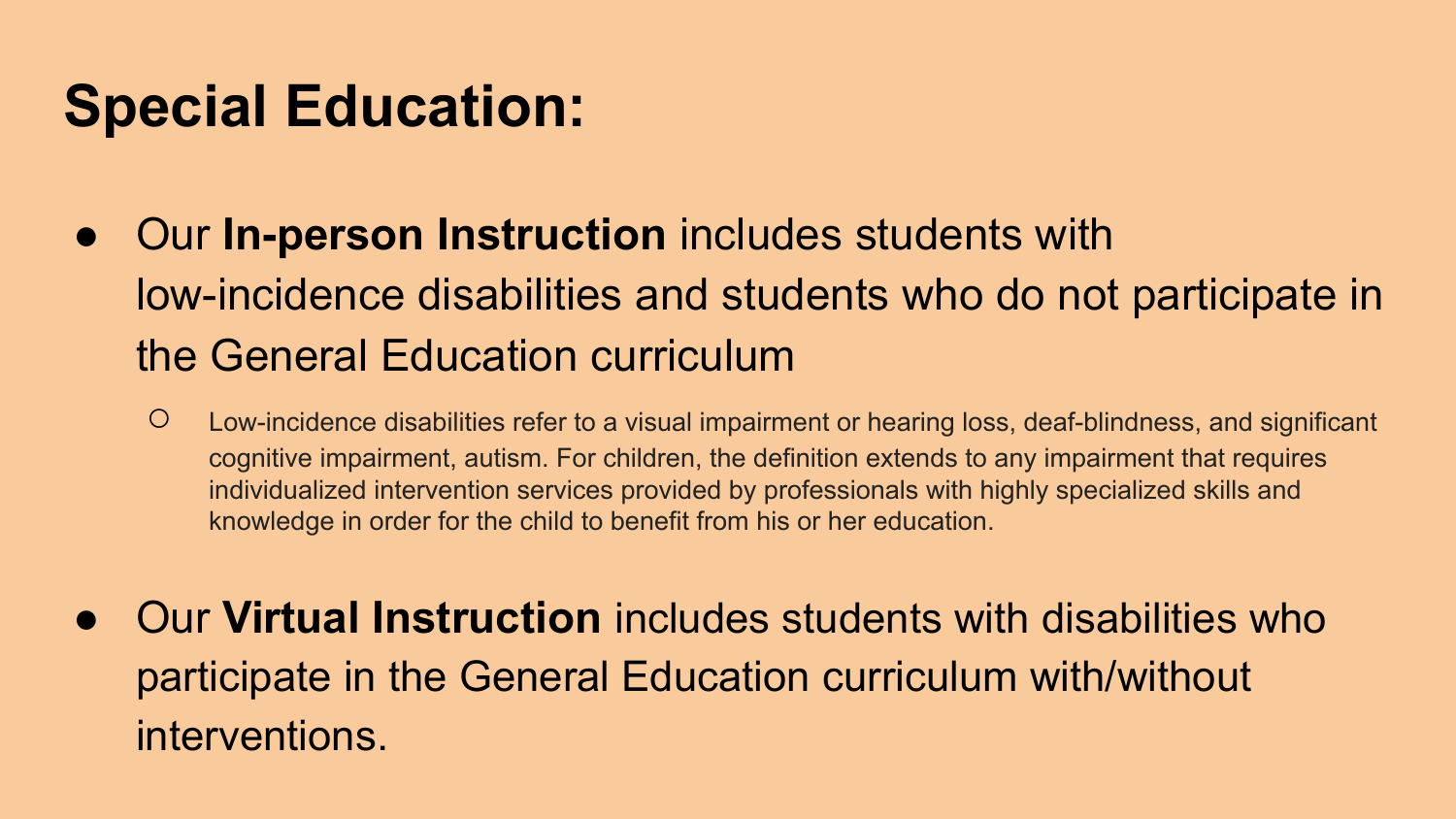- Our **In-person Instruction** includes students with low-incidence disabilities and students who do not participate in the General Education curriculum
	- Low-incidence disabilities refer to a visual impairment or hearing loss, deaf-blindness, and significant cognitive impairment, autism. For children, the definition extends to any impairment that requires individualized intervention services provided by professionals with highly specialized skills and knowledge in order for the child to benefit from his or her education.
- Our **Virtual Instruction** includes students with disabilities who participate in the General Education curriculum with/without interventions.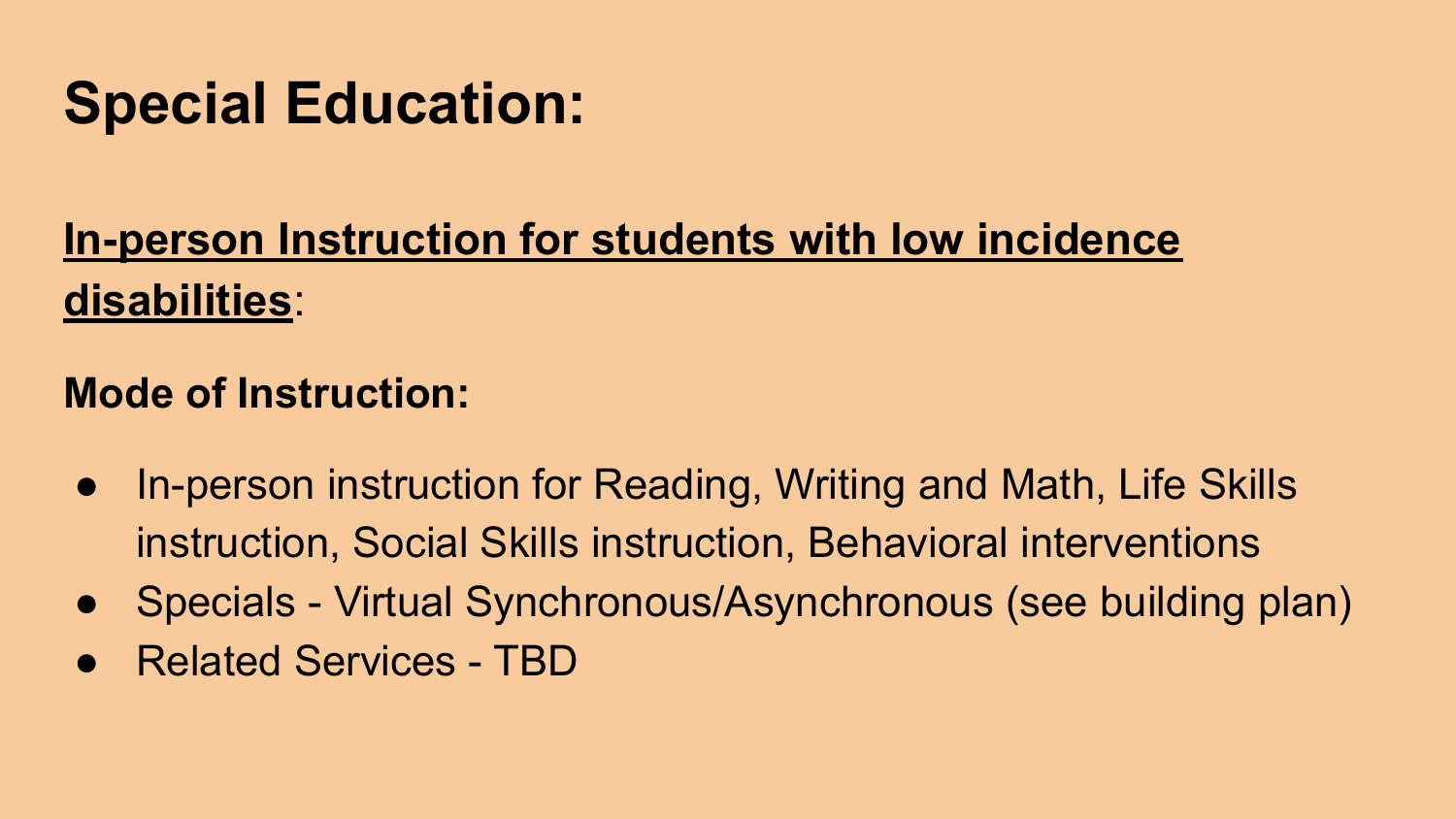#### **In-person Instruction for students with low incidence disabilities**:

#### **Mode of Instruction:**

- In-person instruction for Reading, Writing and Math, Life Skills instruction, Social Skills instruction, Behavioral interventions
- Specials Virtual Synchronous/Asynchronous (see building plan)
- **Related Services TBD**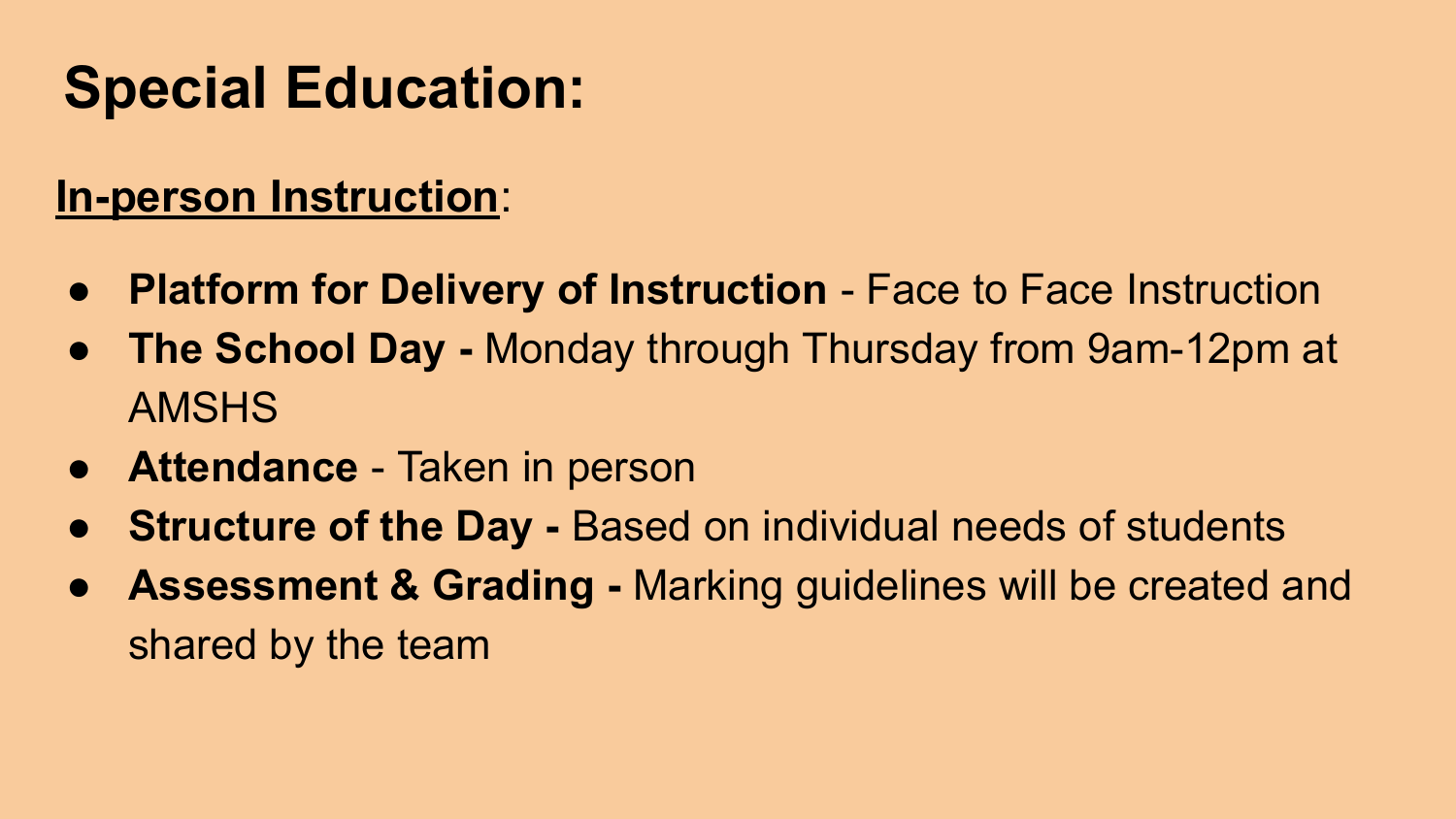#### **In-person Instruction**:

- **Platform for Delivery of Instruction** Face to Face Instruction
- **● The School Day** Monday through Thursday from 9am-12pm at AMSHS
- **● Attendance**  Taken in person
- **Structure of the Day Based on individual needs of students**
- **● Assessment & Grading** Marking guidelines will be created and shared by the team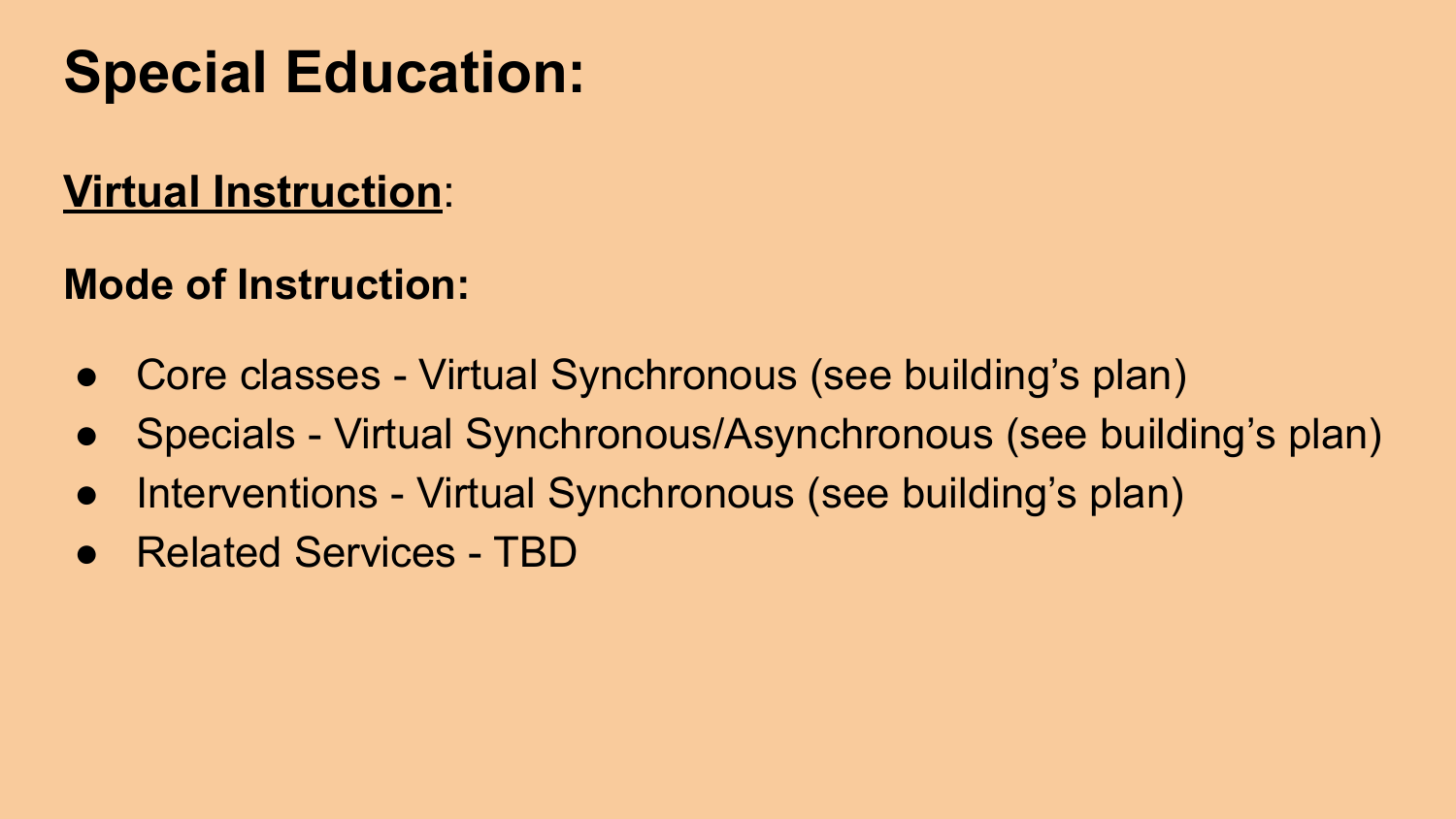#### **Virtual Instruction**:

#### **Mode of Instruction:**

- Core classes Virtual Synchronous (see building's plan)
- Specials Virtual Synchronous/Asynchronous (see building's plan)
- Interventions Virtual Synchronous (see building's plan)
- Related Services TBD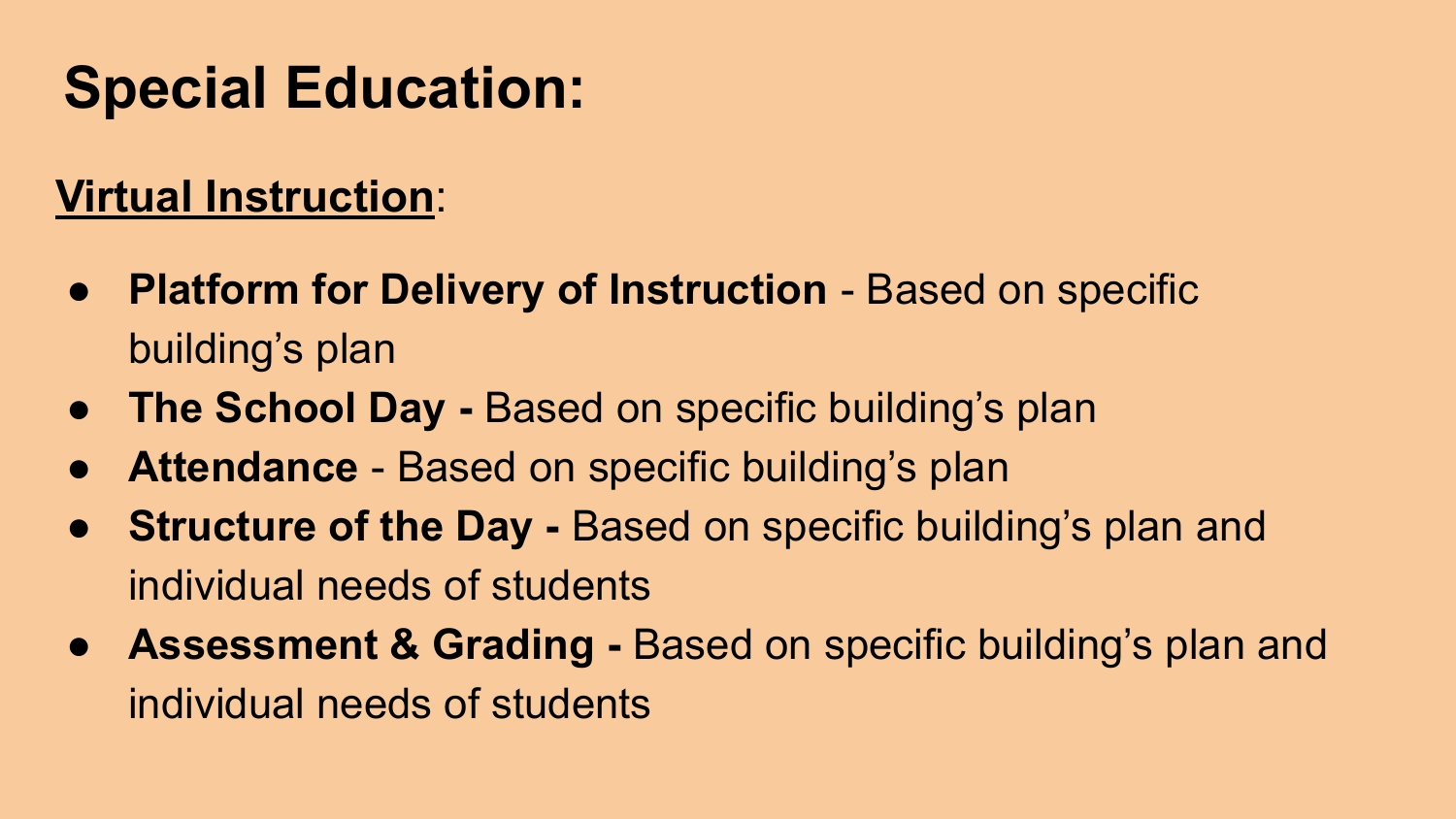#### **Virtual Instruction**:

- **Platform for Delivery of Instruction** Based on specific building's plan
- **The School Day -** Based on specific building's plan
- **● Attendance**  Based on specific building's plan
- **Structure of the Day -** Based on specific building's plan and individual needs of students
- **Assessment & Grading Based on specific building's plan and** individual needs of students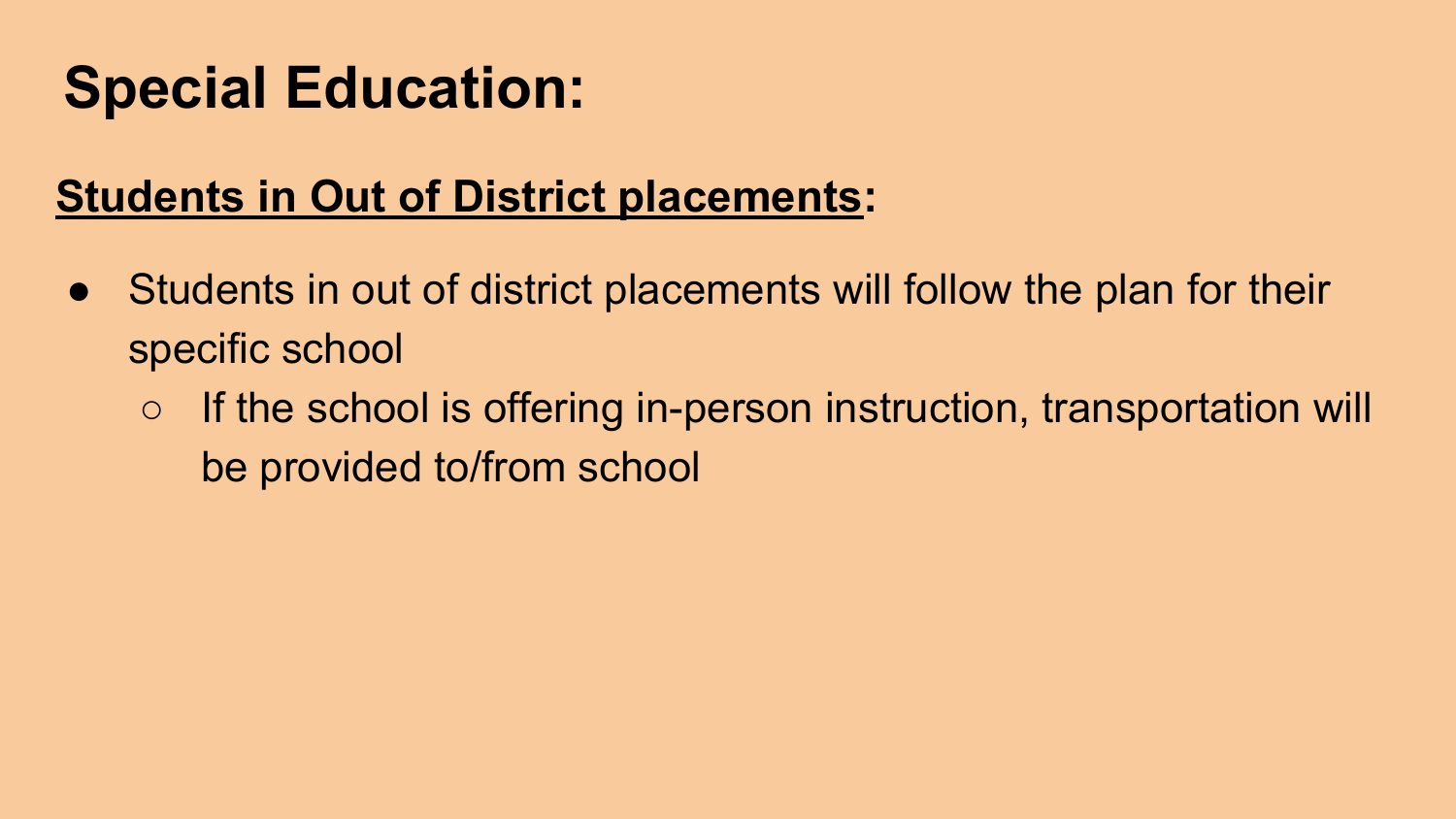#### **Students in Out of District placements:**

- Students in out of district placements will follow the plan for their specific school
	- If the school is offering in-person instruction, transportation will be provided to/from school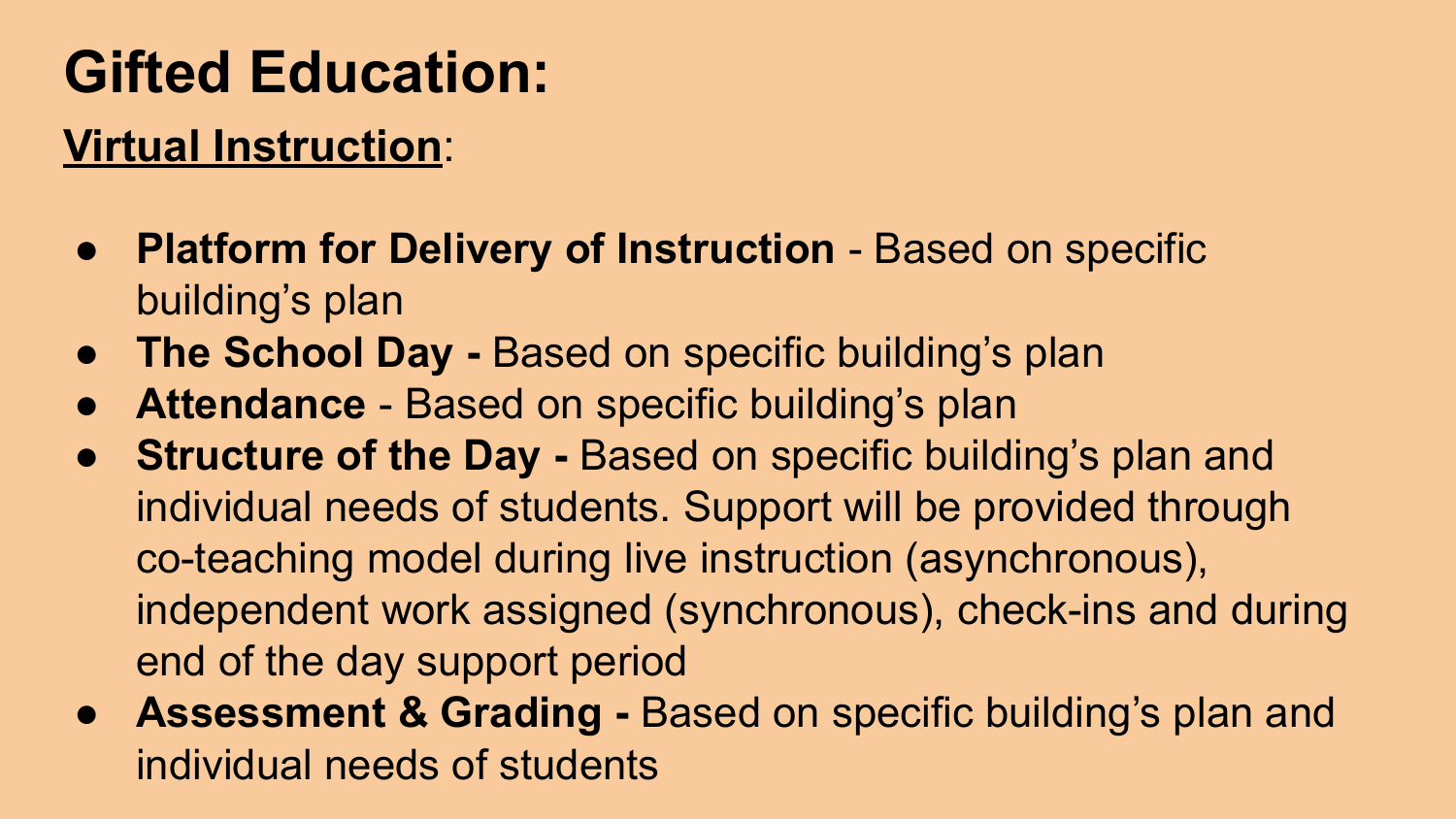# **Gifted Education:**

#### **Virtual Instruction**:

- **Platform for Delivery of Instruction** Based on specific building's plan
- **The School Day -** Based on specific building's plan
- **Attendance** Based on specific building's plan
- **Structure of the Day -** Based on specific building's plan and individual needs of students. Support will be provided through co-teaching model during live instruction (asynchronous), independent work assigned (synchronous), check-ins and during end of the day support period
- **Assessment & Grading Based on specific building's plan and** individual needs of students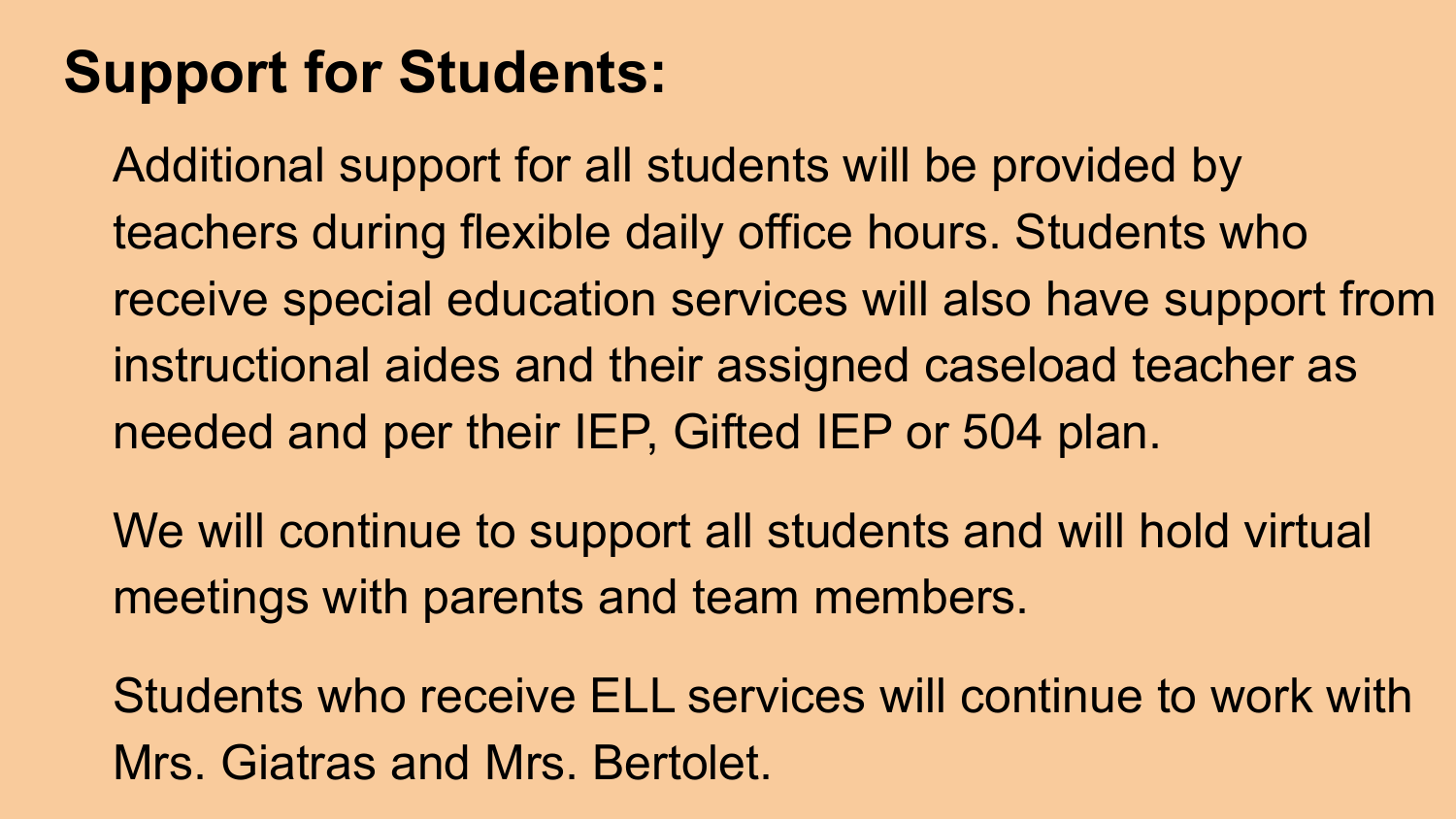#### **Support for Students:**

Additional support for all students will be provided by teachers during flexible daily office hours. Students who receive special education services will also have support from instructional aides and their assigned caseload teacher as needed and per their IEP, Gifted IEP or 504 plan.

We will continue to support all students and will hold virtual meetings with parents and team members.

Students who receive ELL services will continue to work with Mrs. Giatras and Mrs. Bertolet.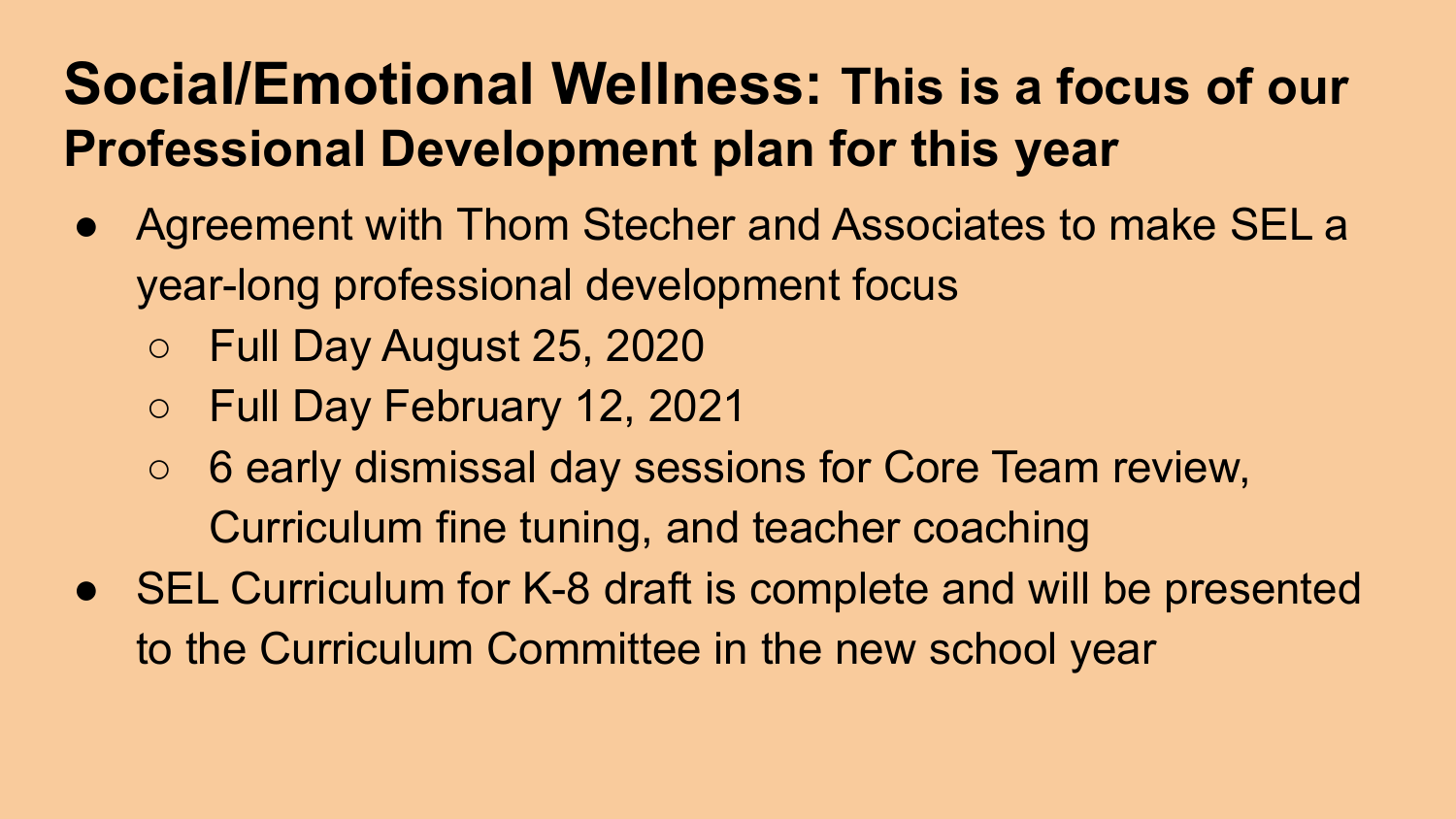#### **Social/Emotional Wellness: This is a focus of our Professional Development plan for this year**

- Agreement with Thom Stecher and Associates to make SEL a year-long professional development focus
	- Full Day August 25, 2020
	- Full Day February 12, 2021
	- 6 early dismissal day sessions for Core Team review, Curriculum fine tuning, and teacher coaching
- SEL Curriculum for K-8 draft is complete and will be presented to the Curriculum Committee in the new school year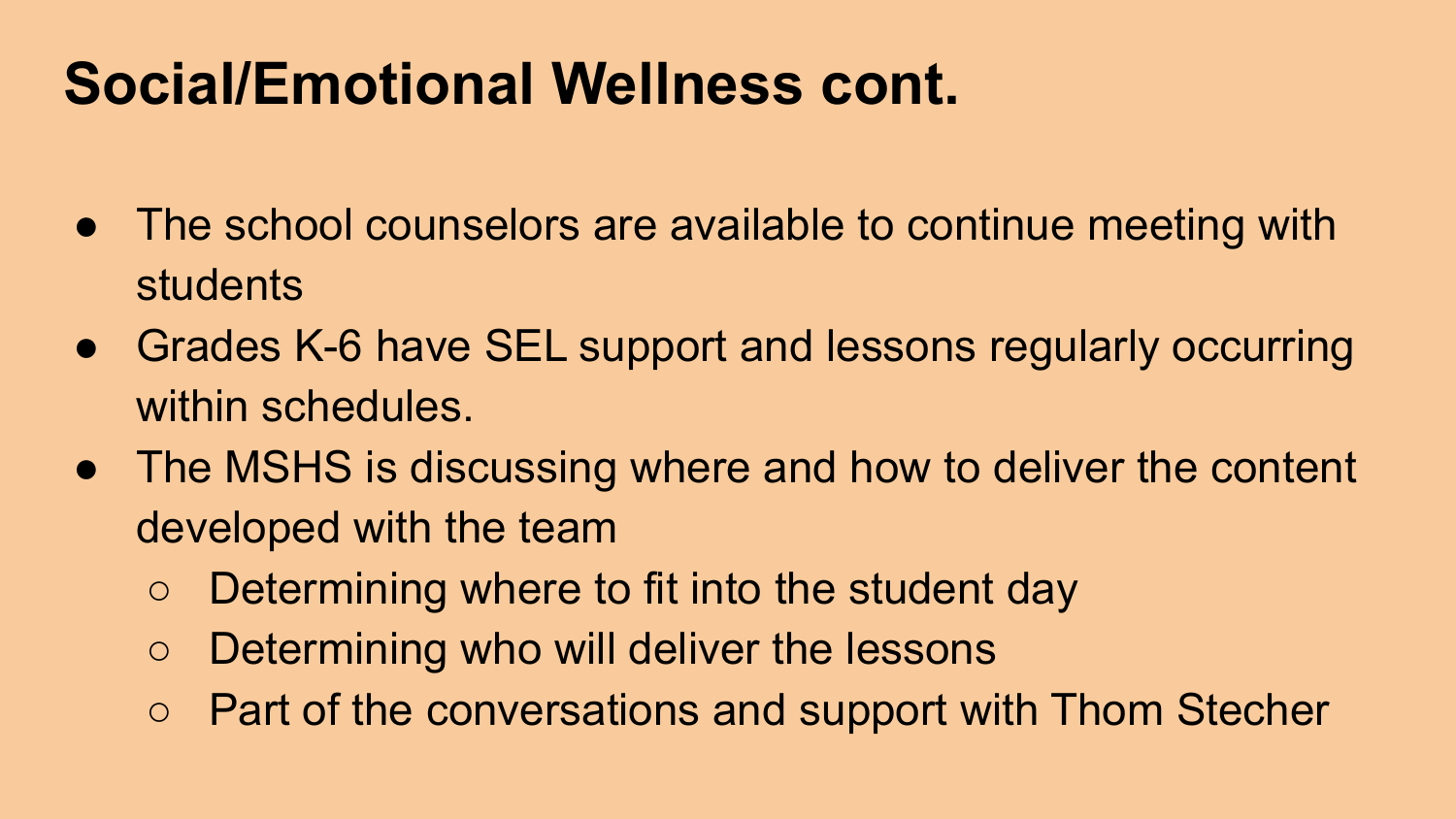#### **Social/Emotional Wellness cont.**

- The school counselors are available to continue meeting with students
- Grades K-6 have SEL support and lessons regularly occurring within schedules.
- The MSHS is discussing where and how to deliver the content developed with the team
	- Determining where to fit into the student day
	- Determining who will deliver the lessons
	- Part of the conversations and support with Thom Stecher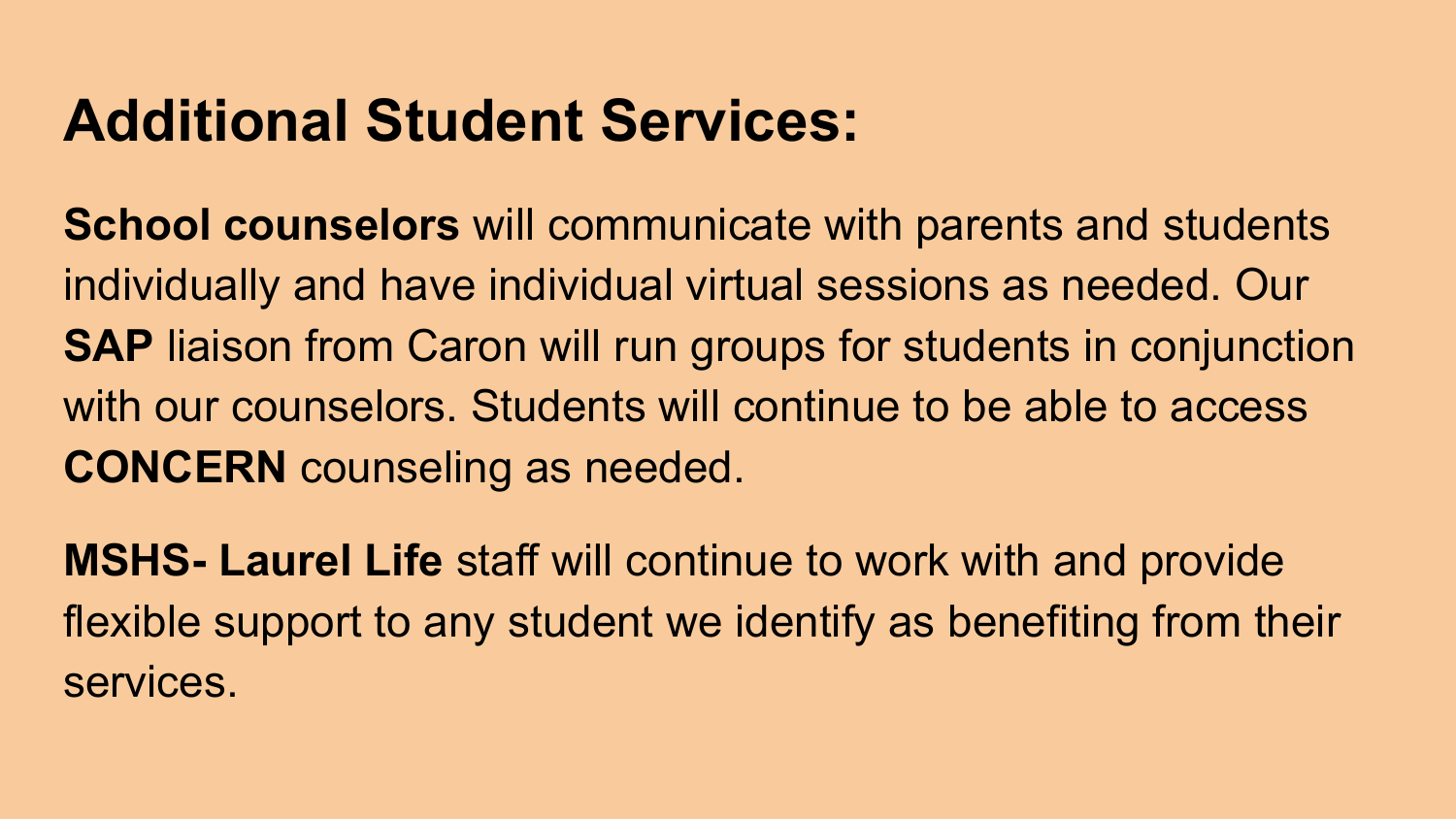#### **Additional Student Services:**

**School counselors** will communicate with parents and students individually and have individual virtual sessions as needed. Our **SAP** liaison from Caron will run groups for students in conjunction with our counselors. Students will continue to be able to access **CONCERN** counseling as needed.

**MSHS- Laurel Life** staff will continue to work with and provide flexible support to any student we identify as benefiting from their services.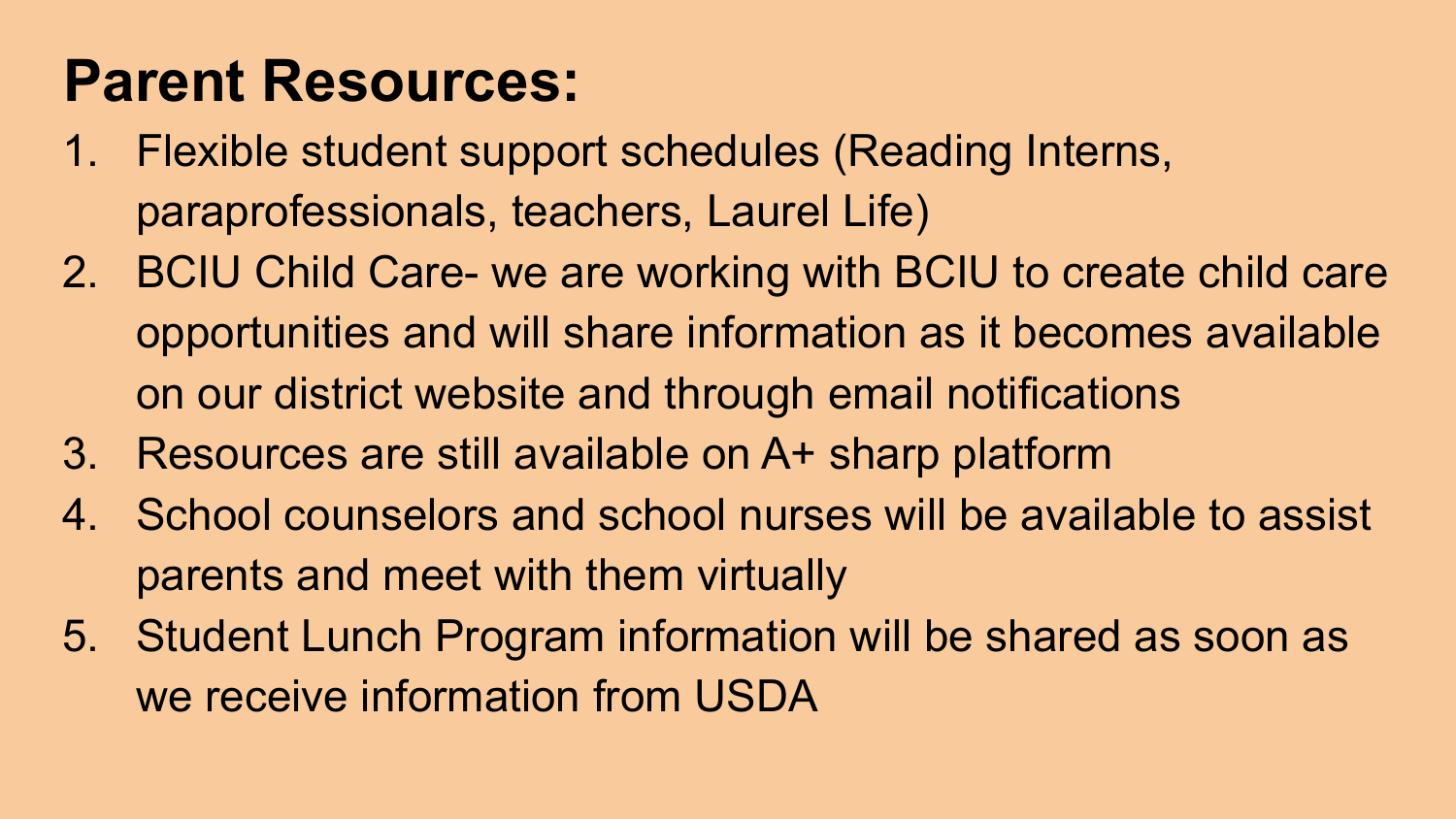## **Parent Resources:**

- 1. Flexible student support schedules (Reading Interns, paraprofessionals, teachers, Laurel Life)
- 2. BCIU Child Care- we are working with BCIU to create child care opportunities and will share information as it becomes available on our district website and through email notifications
- 3. Resources are still available on A+ sharp platform
- 4. School counselors and school nurses will be available to assist parents and meet with them virtually
- 5. Student Lunch Program information will be shared as soon as we receive information from USDA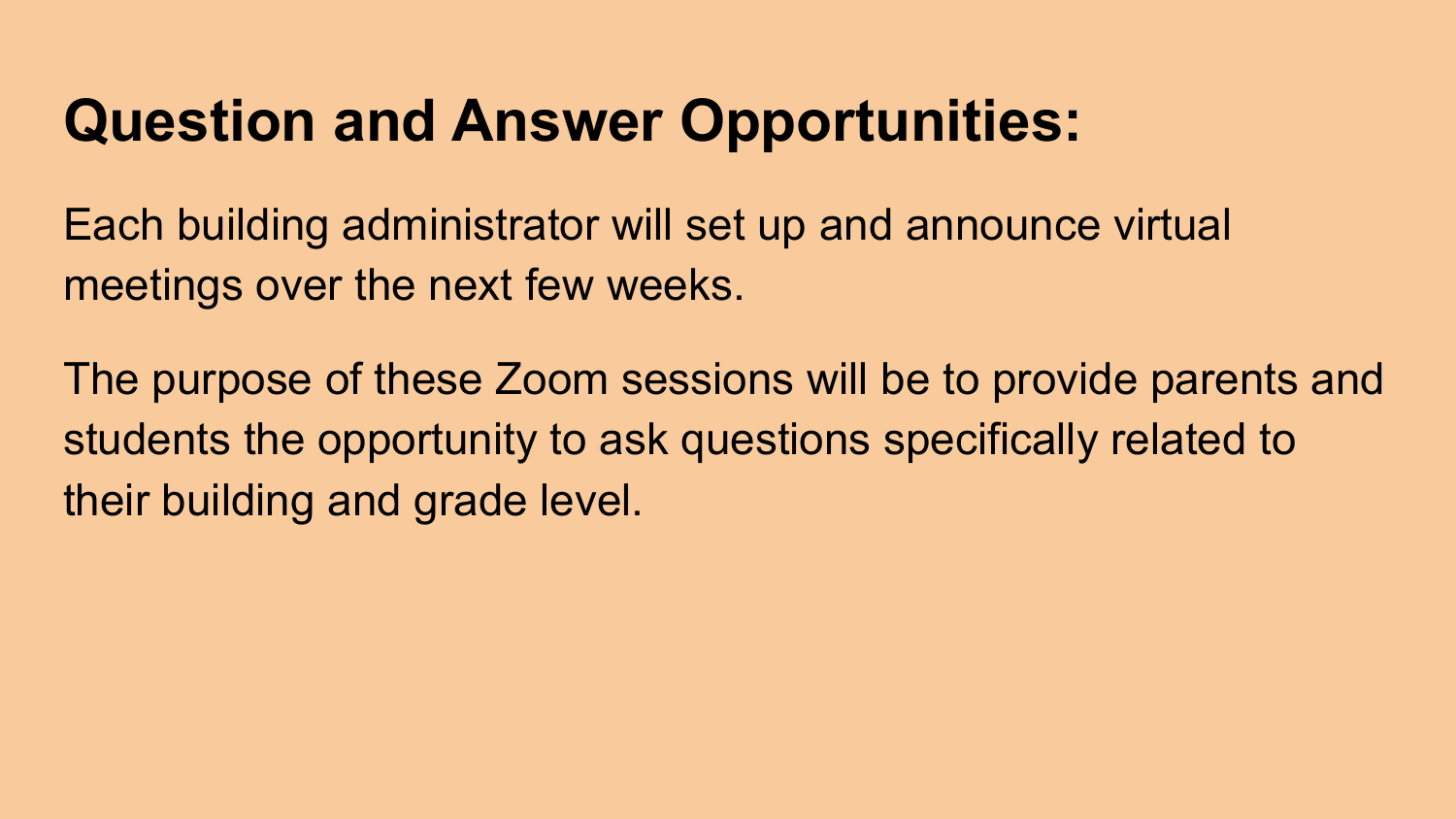# **Question and Answer Opportunities:**

Each building administrator will set up and announce virtual meetings over the next few weeks.

The purpose of these Zoom sessions will be to provide parents and students the opportunity to ask questions specifically related to their building and grade level.